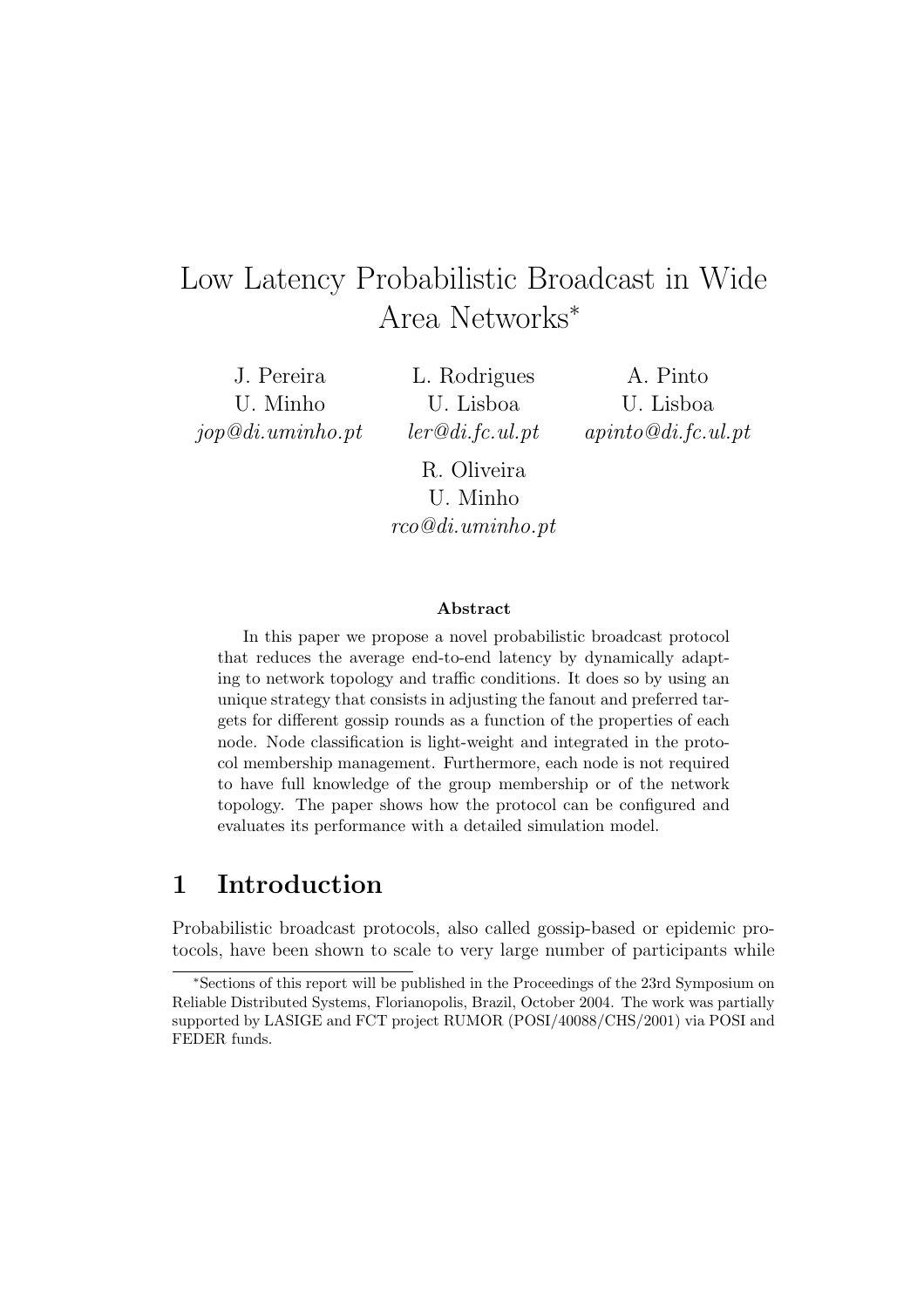# Low Latency Probabilistic Broadcast in Wide Area Networks<sup>∗</sup>

J. Pereira U. Minho jop@di.uminho.pt

L. Rodrigues U. Lisboa ler@di.fc.ul.pt

A. Pinto U. Lisboa

R. Oliveira U. Minho rco@di.uminho.pt apinto@di.fc.ul.pt

#### Abstract

In this paper we propose a novel probabilistic broadcast protocol that reduces the average end-to-end latency by dynamically adapting to network topology and traffic conditions. It does so by using an unique strategy that consists in adjusting the fanout and preferred targets for different gossip rounds as a function of the properties of each node. Node classification is light-weight and integrated in the protocol membership management. Furthermore, each node is not required to have full knowledge of the group membership or of the network topology. The paper shows how the protocol can be configured and evaluates its performance with a detailed simulation model.

### 1 Introduction

Probabilistic broadcast protocols, also called gossip-based or epidemic protocols, have been shown to scale to very large number of participants while

<sup>∗</sup>Sections of this report will be published in the Proceedings of the 23rd Symposium on Reliable Distributed Systems, Florianopolis, Brazil, October 2004. The work was partially supported by LASIGE and FCT project RUMOR (POSI/40088/CHS/2001) via POSI and FEDER funds.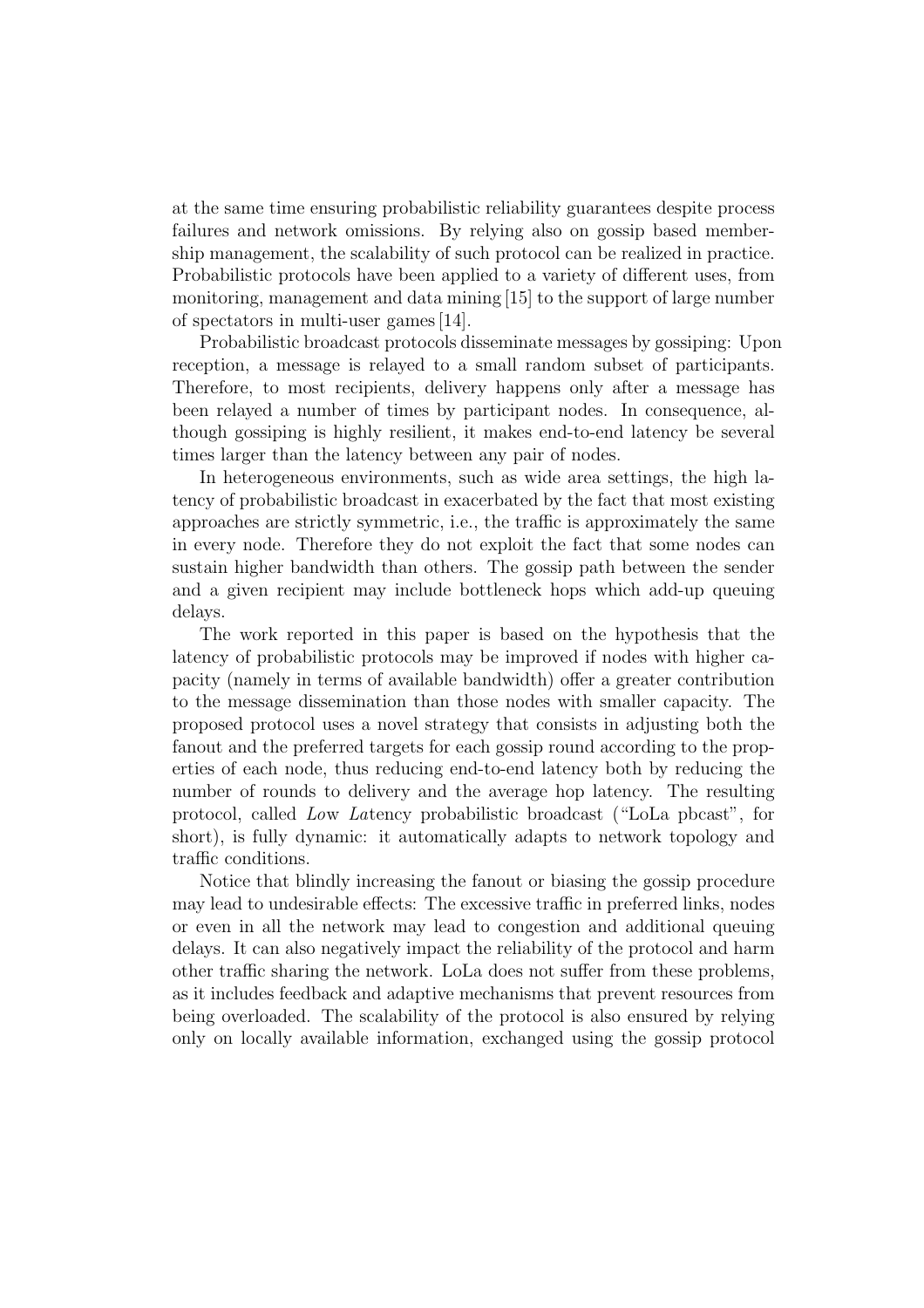at the same time ensuring probabilistic reliability guarantees despite process failures and network omissions. By relying also on gossip based membership management, the scalability of such protocol can be realized in practice. Probabilistic protocols have been applied to a variety of different uses, from monitoring, management and data mining [15] to the support of large number of spectators in multi-user games[14].

Probabilistic broadcast protocols disseminate messages by gossiping: Upon reception, a message is relayed to a small random subset of participants. Therefore, to most recipients, delivery happens only after a message has been relayed a number of times by participant nodes. In consequence, although gossiping is highly resilient, it makes end-to-end latency be several times larger than the latency between any pair of nodes.

In heterogeneous environments, such as wide area settings, the high latency of probabilistic broadcast in exacerbated by the fact that most existing approaches are strictly symmetric, i.e., the traffic is approximately the same in every node. Therefore they do not exploit the fact that some nodes can sustain higher bandwidth than others. The gossip path between the sender and a given recipient may include bottleneck hops which add-up queuing delays.

The work reported in this paper is based on the hypothesis that the latency of probabilistic protocols may be improved if nodes with higher capacity (namely in terms of available bandwidth) offer a greater contribution to the message dissemination than those nodes with smaller capacity. The proposed protocol uses a novel strategy that consists in adjusting both the fanout and the preferred targets for each gossip round according to the properties of each node, thus reducing end-to-end latency both by reducing the number of rounds to delivery and the average hop latency. The resulting protocol, called Low Latency probabilistic broadcast ("LoLa pbcast", for short), is fully dynamic: it automatically adapts to network topology and traffic conditions.

Notice that blindly increasing the fanout or biasing the gossip procedure may lead to undesirable effects: The excessive traffic in preferred links, nodes or even in all the network may lead to congestion and additional queuing delays. It can also negatively impact the reliability of the protocol and harm other traffic sharing the network. LoLa does not suffer from these problems, as it includes feedback and adaptive mechanisms that prevent resources from being overloaded. The scalability of the protocol is also ensured by relying only on locally available information, exchanged using the gossip protocol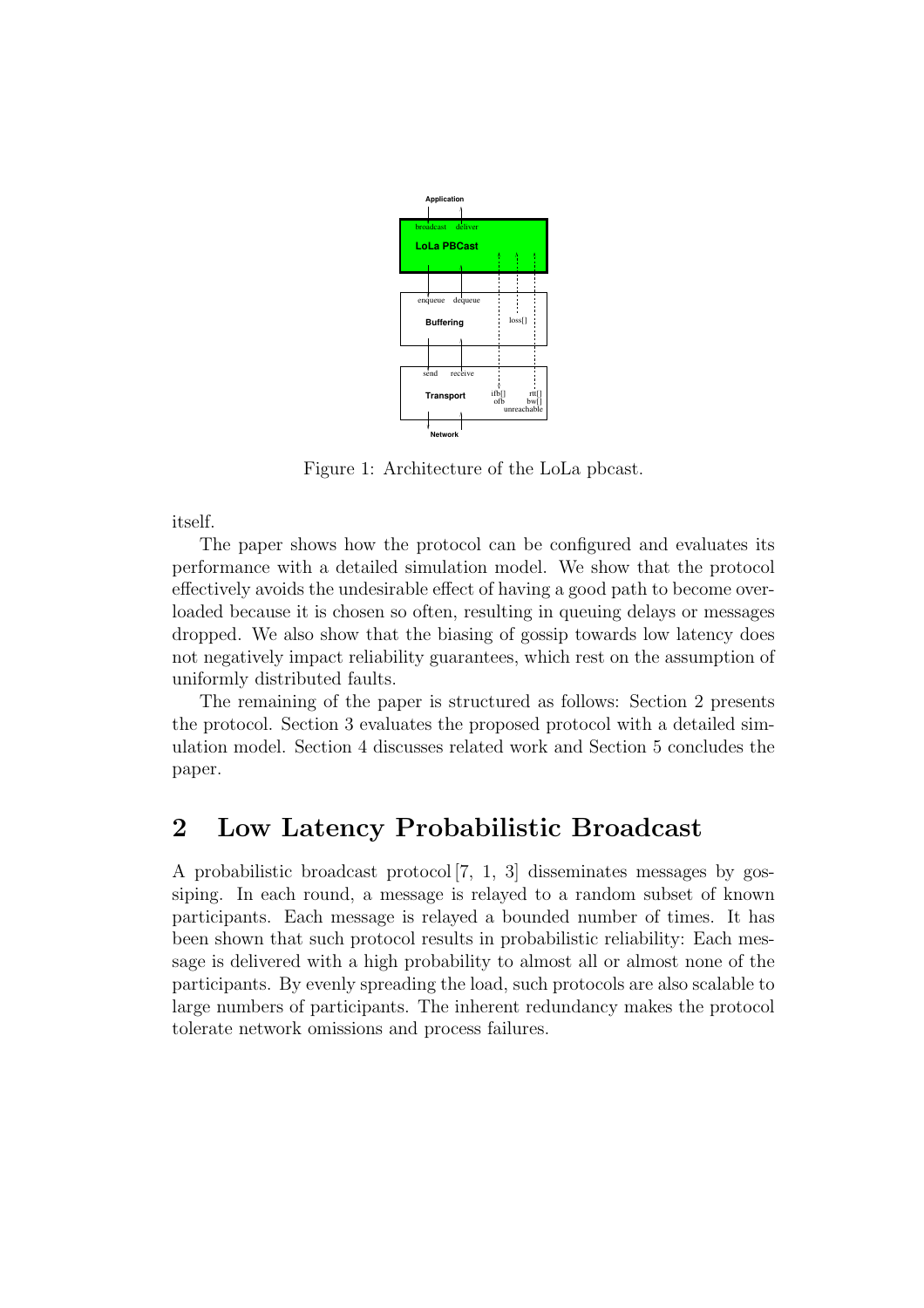

Figure 1: Architecture of the LoLa pbcast.

itself.

The paper shows how the protocol can be configured and evaluates its performance with a detailed simulation model. We show that the protocol effectively avoids the undesirable effect of having a good path to become overloaded because it is chosen so often, resulting in queuing delays or messages dropped. We also show that the biasing of gossip towards low latency does not negatively impact reliability guarantees, which rest on the assumption of uniformly distributed faults.

The remaining of the paper is structured as follows: Section 2 presents the protocol. Section 3 evaluates the proposed protocol with a detailed simulation model. Section 4 discusses related work and Section 5 concludes the paper.

### 2 Low Latency Probabilistic Broadcast

A probabilistic broadcast protocol [7, 1, 3] disseminates messages by gossiping. In each round, a message is relayed to a random subset of known participants. Each message is relayed a bounded number of times. It has been shown that such protocol results in probabilistic reliability: Each message is delivered with a high probability to almost all or almost none of the participants. By evenly spreading the load, such protocols are also scalable to large numbers of participants. The inherent redundancy makes the protocol tolerate network omissions and process failures.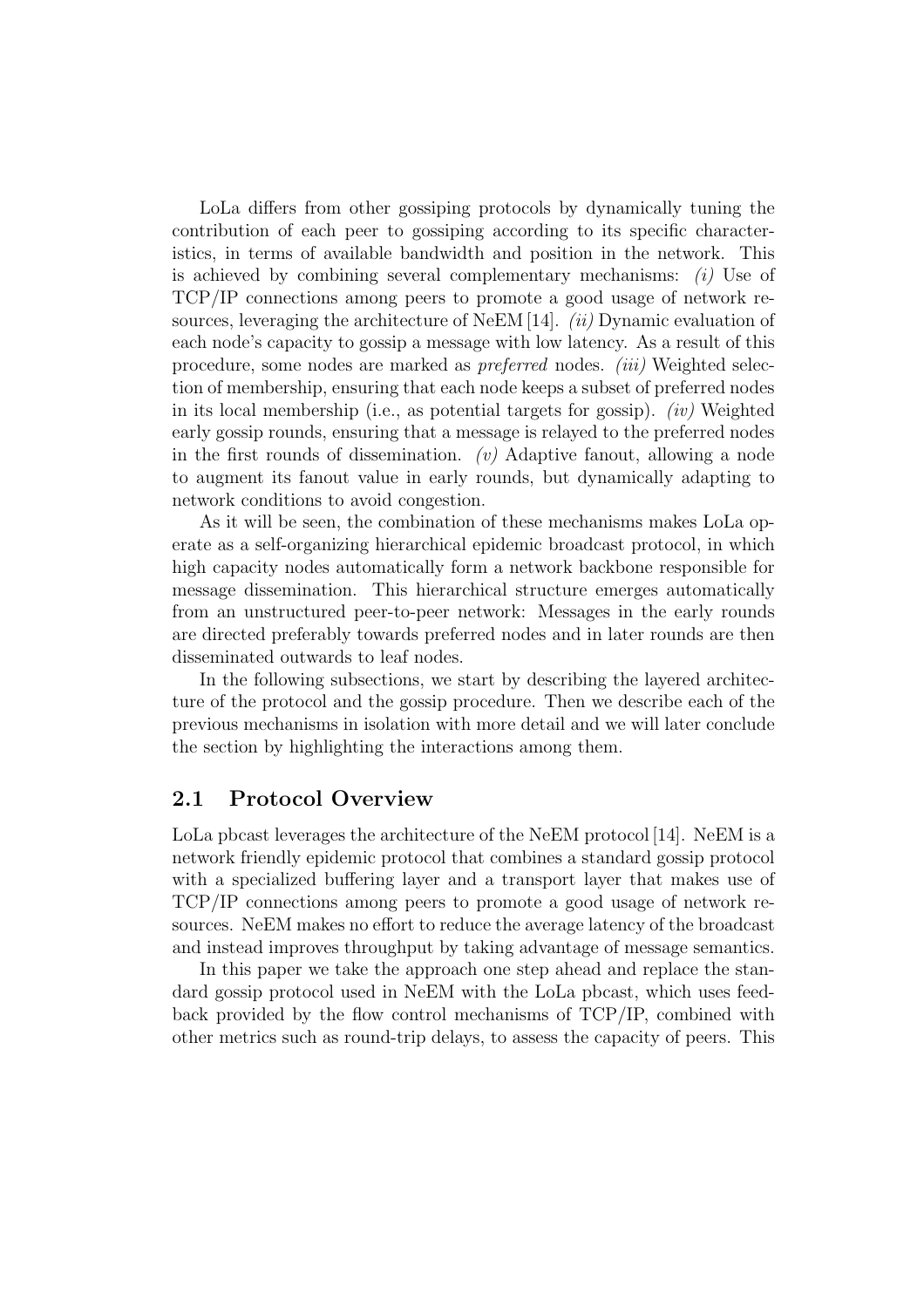LoLa differs from other gossiping protocols by dynamically tuning the contribution of each peer to gossiping according to its specific characteristics, in terms of available bandwidth and position in the network. This is achieved by combining several complementary mechanisms:  $(i)$  Use of TCP/IP connections among peers to promote a good usage of network resources, leveraging the architecture of NeEM [14]. *(ii)* Dynamic evaluation of each node's capacity to gossip a message with low latency. As a result of this procedure, some nodes are marked as preferred nodes. (iii) Weighted selection of membership, ensuring that each node keeps a subset of preferred nodes in its local membership (i.e., as potential targets for gossip). (iv) Weighted early gossip rounds, ensuring that a message is relayed to the preferred nodes in the first rounds of dissemination.  $(v)$  Adaptive fanout, allowing a node to augment its fanout value in early rounds, but dynamically adapting to network conditions to avoid congestion.

As it will be seen, the combination of these mechanisms makes LoLa operate as a self-organizing hierarchical epidemic broadcast protocol, in which high capacity nodes automatically form a network backbone responsible for message dissemination. This hierarchical structure emerges automatically from an unstructured peer-to-peer network: Messages in the early rounds are directed preferably towards preferred nodes and in later rounds are then disseminated outwards to leaf nodes.

In the following subsections, we start by describing the layered architecture of the protocol and the gossip procedure. Then we describe each of the previous mechanisms in isolation with more detail and we will later conclude the section by highlighting the interactions among them.

#### 2.1 Protocol Overview

LoLa pbcast leverages the architecture of the NeEM protocol [14]. NeEM is a network friendly epidemic protocol that combines a standard gossip protocol with a specialized buffering layer and a transport layer that makes use of TCP/IP connections among peers to promote a good usage of network resources. NeEM makes no effort to reduce the average latency of the broadcast and instead improves throughput by taking advantage of message semantics.

In this paper we take the approach one step ahead and replace the standard gossip protocol used in NeEM with the LoLa pbcast, which uses feedback provided by the flow control mechanisms of TCP/IP, combined with other metrics such as round-trip delays, to assess the capacity of peers. This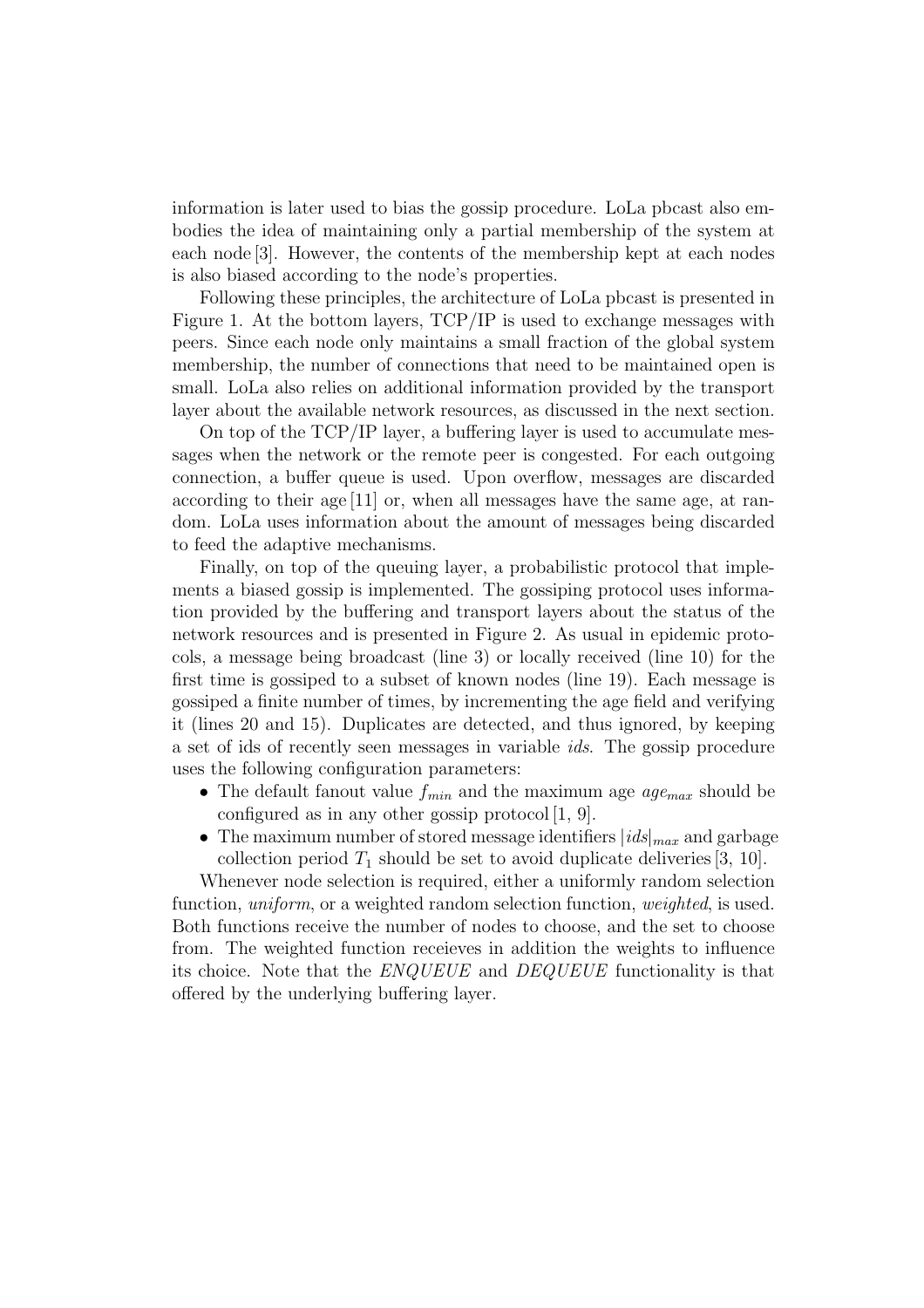information is later used to bias the gossip procedure. LoLa pbcast also embodies the idea of maintaining only a partial membership of the system at each node [3]. However, the contents of the membership kept at each nodes is also biased according to the node's properties.

Following these principles, the architecture of LoLa pbcast is presented in Figure 1. At the bottom layers, TCP/IP is used to exchange messages with peers. Since each node only maintains a small fraction of the global system membership, the number of connections that need to be maintained open is small. LoLa also relies on additional information provided by the transport layer about the available network resources, as discussed in the next section.

On top of the TCP/IP layer, a buffering layer is used to accumulate messages when the network or the remote peer is congested. For each outgoing connection, a buffer queue is used. Upon overflow, messages are discarded according to their age [11] or, when all messages have the same age, at random. LoLa uses information about the amount of messages being discarded to feed the adaptive mechanisms.

Finally, on top of the queuing layer, a probabilistic protocol that implements a biased gossip is implemented. The gossiping protocol uses information provided by the buffering and transport layers about the status of the network resources and is presented in Figure 2. As usual in epidemic protocols, a message being broadcast (line 3) or locally received (line 10) for the first time is gossiped to a subset of known nodes (line 19). Each message is gossiped a finite number of times, by incrementing the age field and verifying it (lines 20 and 15). Duplicates are detected, and thus ignored, by keeping a set of ids of recently seen messages in variable ids. The gossip procedure uses the following configuration parameters:

- The default fanout value  $f_{min}$  and the maximum age  $age_{max}$  should be configured as in any other gossip protocol [1, 9].
- The maximum number of stored message identifiers  $|ids|_{max}$  and garbage collection period  $T_1$  should be set to avoid duplicate deliveries [3, 10].

Whenever node selection is required, either a uniformly random selection function, *uniform*, or a weighted random selection function, *weighted*, is used. Both functions receive the number of nodes to choose, and the set to choose from. The weighted function receieves in addition the weights to influence its choice. Note that the ENQUEUE and DEQUEUE functionality is that offered by the underlying buffering layer.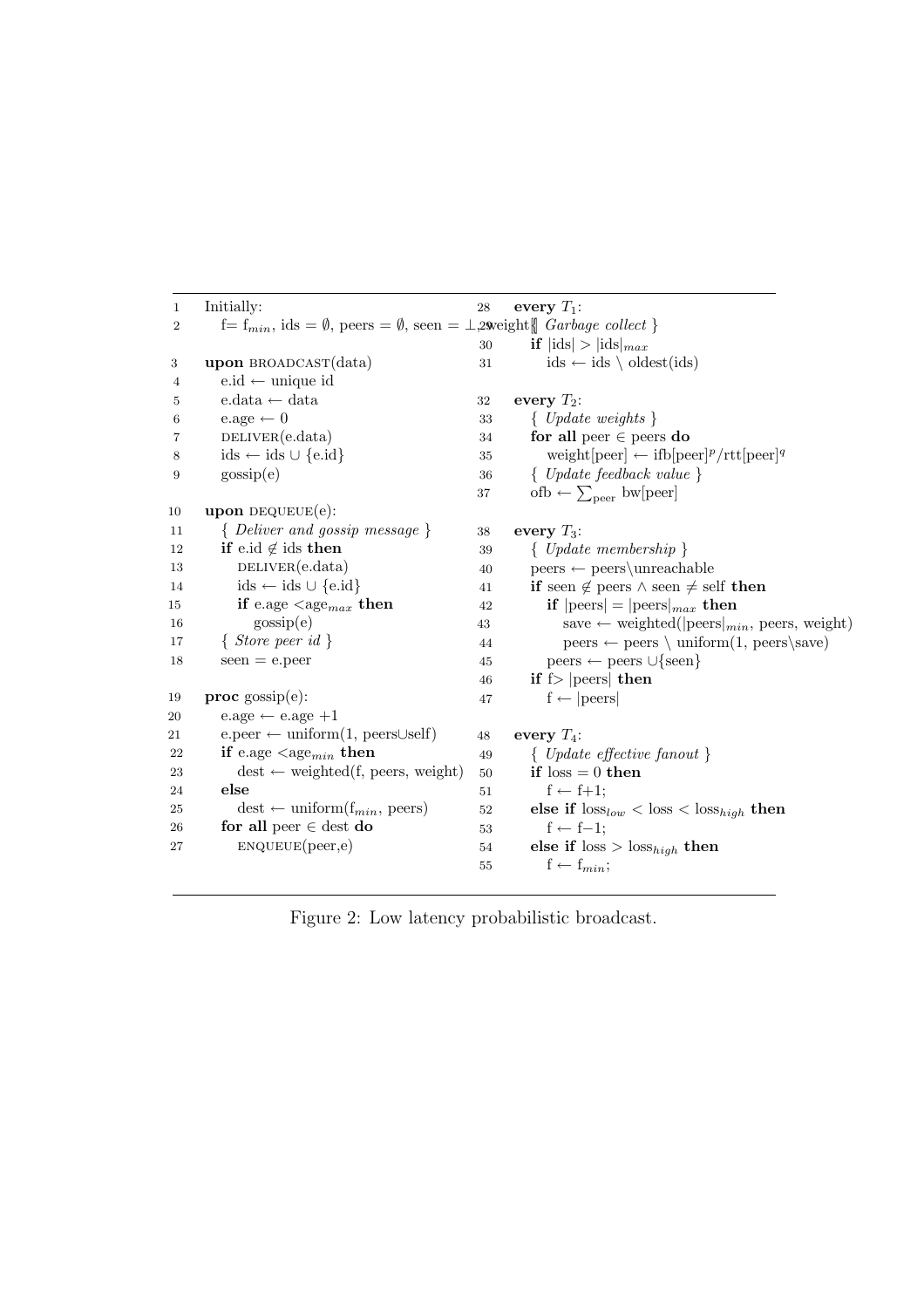```
1 Initially:
 f=f_{min}, ids = \emptyset, peers = \emptyset, seen = \bot, 2weight\llbracket Garbage collect \}3 upon BROADCAST(data)
 4 e.id ← unique id<br>5 e.data ← data
 5 e.data ← data<br>6 e.age ← 0
 6 e.age \leftarrow 0<br>7 DELIVER(e
             DELIVER(e.data)8 ids ← ids ∪ {e.id}<br>9 gossip(e)
             gossip(e)10 upon DEQUEUE(e):
11 { Deliver and gossip message }<br>12 if e.id \notin ids then
12 if e.id \notin ids then<br>13 DELIVER(e.data
                 DELIVER(e.data)14 ids ← ids ∪ {e.id}<br>
15 if e.age <age<sub>max</sub> 1
                 if e.age \langle \text{age}_{max} \text{ then}16 \qquad \qquad \text{gossip}(e)17 { Store peer id }<br>18 \sec n = e \cdot eseen = e.peer19 proc gossip(e):
20 e.age \leftarrow e.age +1<br>21 e.peer \leftarrow uniform
21 e.peer ← uniform(1, peers∪self)<br>22 if e.age \langle \text{age}_{min} \text{ then} \rangleif e.age \langle \text{age}_{min} \text{ then}23 dest ← weighted(f, peers, weight)<br>
24 else
             else
25 dest ← uniform(f_{min}, peers)<br>26 for all peer ∈ dest do
26 for all peer \in dest do<br>27 ENQUEUE(peer,e)
                 ENQUEUE(peer, e)28 every T_1:
                                                                           30 if |ids| > |ids|_{max}<br>31 ids \leftarrow ids \setminus old
                                                                                            ids \leftarrow ids \setminus oldest(ids)
                                                                           32 every T_2:
                                                                           33 { Update \ weights }<br>34 for all near \in near
                                                                            34 for all peer \in peers do<br>35 weight[peer] \leftarrow ifb[pe
                                                                            35 weight[peer] ← ifb[peer]<sup>p</sup>/rtt[peer]<sup>q</sup><br>36 { Update feedback value }
                                                                           36 { Update feedback value }<br>37 of b \leftarrow \sum_{\text{even}} bw[peer]
                                                                            37 ofb \leftarrow \sum_{\text{peer}} bw[peer]
                                                                           38 every T_3:
                                                                           39 { Update \, membership \}<br>40 peers \leftarrow peers\unreach
                                                                            40 peers ← peers\unreachable<br>41 if seen \notin peers \wedge seen \neq se
                                                                            41 if seen \notin peers ∧ seen \neq self then<br>42 if | \text{peers} | = | \text{peers}|_{max} then
                                                                           42 if |{\text{peers}}| = |{\text{peers}}|_{max} then<br>43 save \leftarrow weighted(|{\text{peers}}|_{max}43 save ← weighted(|peers|<sub>min</sub>, peers, weight)<br>44 peers ← peers \ uniform(1, peers\save)
                                                                            44 peers ← peers \ uniform(1, peers\save)<br>45 peers ← peers \cup{seen}
                                                                            45 peers ← peers ∪{seen}<br>46 if \uparrow |peers| then
                                                                            46 if f > |peers| then<br>47 f \leftarrow |peers|
                                                                                            f \leftarrow | \text{peers} |48 every T_4:
                                                                           49 { Update effective fanout }<br>50 if loss = 0 then
                                                                                        if loss = 0 then
                                                                           51 f \leftarrow f+1;<br>52 else if loss
                                                                                        else if \log_{low} < \log_{high} then
                                                                           53 f \leftarrow f-1;<br>54 else if loss
                                                                                        else if loss > loss_{high} then
                                                                           55 f \leftarrow f_{min};
```
Figure 2: Low latency probabilistic broadcast.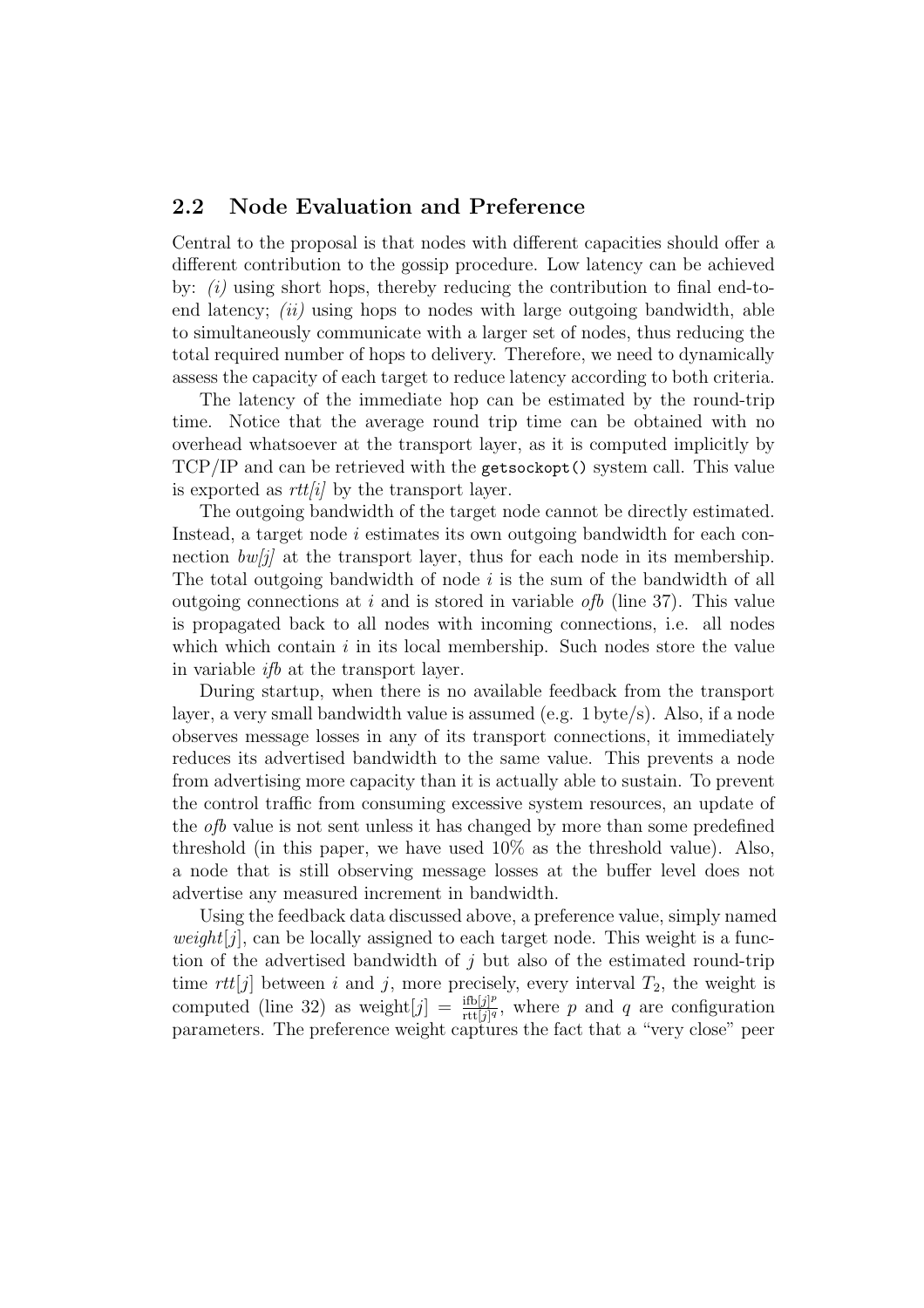#### 2.2 Node Evaluation and Preference

Central to the proposal is that nodes with different capacities should offer a different contribution to the gossip procedure. Low latency can be achieved by:  $(i)$  using short hops, thereby reducing the contribution to final end-toend latency;  $(ii)$  using hops to nodes with large outgoing bandwidth, able to simultaneously communicate with a larger set of nodes, thus reducing the total required number of hops to delivery. Therefore, we need to dynamically assess the capacity of each target to reduce latency according to both criteria.

The latency of the immediate hop can be estimated by the round-trip time. Notice that the average round trip time can be obtained with no overhead whatsoever at the transport layer, as it is computed implicitly by TCP/IP and can be retrieved with the getsockopt() system call. This value is exported as  $rtt[i]$  by the transport layer.

The outgoing bandwidth of the target node cannot be directly estimated. Instead, a target node i estimates its own outgoing bandwidth for each connection  $bw/j$  at the transport layer, thus for each node in its membership. The total outgoing bandwidth of node i is the sum of the bandwidth of all outgoing connections at i and is stored in variable  $ofb$  (line 37). This value is propagated back to all nodes with incoming connections, i.e. all nodes which which contain  $i$  in its local membership. Such nodes store the value in variable ifb at the transport layer.

During startup, when there is no available feedback from the transport layer, a very small bandwidth value is assumed (e.g. 1 byte/s). Also, if a node observes message losses in any of its transport connections, it immediately reduces its advertised bandwidth to the same value. This prevents a node from advertising more capacity than it is actually able to sustain. To prevent the control traffic from consuming excessive system resources, an update of the ofb value is not sent unless it has changed by more than some predefined threshold (in this paper, we have used  $10\%$  as the threshold value). Also, a node that is still observing message losses at the buffer level does not advertise any measured increment in bandwidth.

Using the feedback data discussed above, a preference value, simply named *weight*[j], can be locally assigned to each target node. This weight is a function of the advertised bandwidth of  $j$  but also of the estimated round-trip time  $rtt[j]$  between i and j, more precisely, every interval  $T_2$ , the weight is computed (line 32) as weight  $[j] = \frac{ifb[j]^p}{r+f[i]q}$  $\frac{\text{tr}\left(y\right)p}{\text{tr}\left(y\right)^q}$ , where p and q are configuration parameters. The preference weight captures the fact that a "very close" peer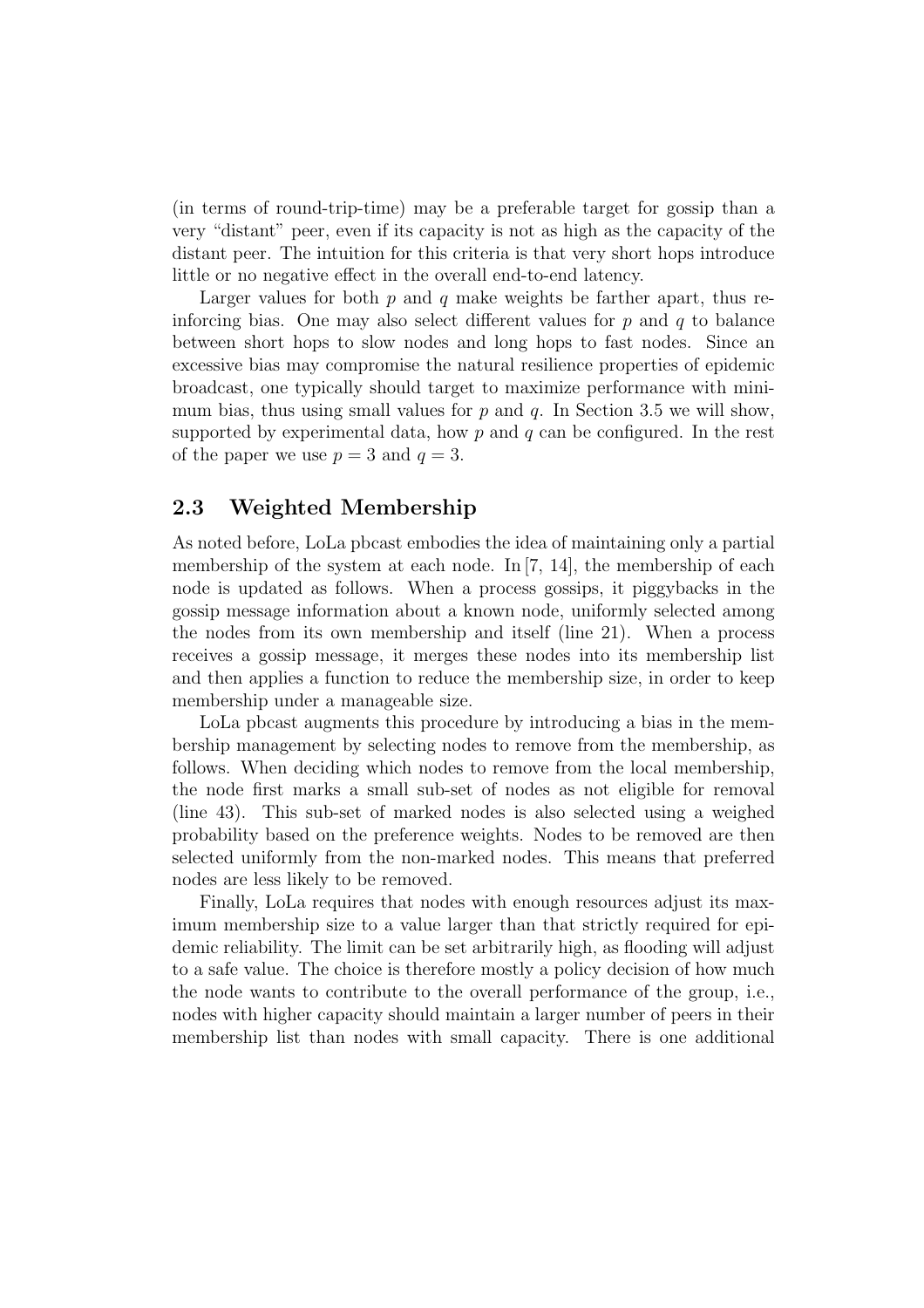(in terms of round-trip-time) may be a preferable target for gossip than a very "distant" peer, even if its capacity is not as high as the capacity of the distant peer. The intuition for this criteria is that very short hops introduce little or no negative effect in the overall end-to-end latency.

Larger values for both  $p$  and  $q$  make weights be farther apart, thus reinforcing bias. One may also select different values for  $p$  and  $q$  to balance between short hops to slow nodes and long hops to fast nodes. Since an excessive bias may compromise the natural resilience properties of epidemic broadcast, one typically should target to maximize performance with minimum bias, thus using small values for  $p$  and  $q$ . In Section 3.5 we will show, supported by experimental data, how  $p$  and  $q$  can be configured. In the rest of the paper we use  $p = 3$  and  $q = 3$ .

### 2.3 Weighted Membership

As noted before, LoLa pbcast embodies the idea of maintaining only a partial membership of the system at each node. In [7, 14], the membership of each node is updated as follows. When a process gossips, it piggybacks in the gossip message information about a known node, uniformly selected among the nodes from its own membership and itself (line 21). When a process receives a gossip message, it merges these nodes into its membership list and then applies a function to reduce the membership size, in order to keep membership under a manageable size.

LoLa pbcast augments this procedure by introducing a bias in the membership management by selecting nodes to remove from the membership, as follows. When deciding which nodes to remove from the local membership, the node first marks a small sub-set of nodes as not eligible for removal (line 43). This sub-set of marked nodes is also selected using a weighed probability based on the preference weights. Nodes to be removed are then selected uniformly from the non-marked nodes. This means that preferred nodes are less likely to be removed.

Finally, LoLa requires that nodes with enough resources adjust its maximum membership size to a value larger than that strictly required for epidemic reliability. The limit can be set arbitrarily high, as flooding will adjust to a safe value. The choice is therefore mostly a policy decision of how much the node wants to contribute to the overall performance of the group, i.e., nodes with higher capacity should maintain a larger number of peers in their membership list than nodes with small capacity. There is one additional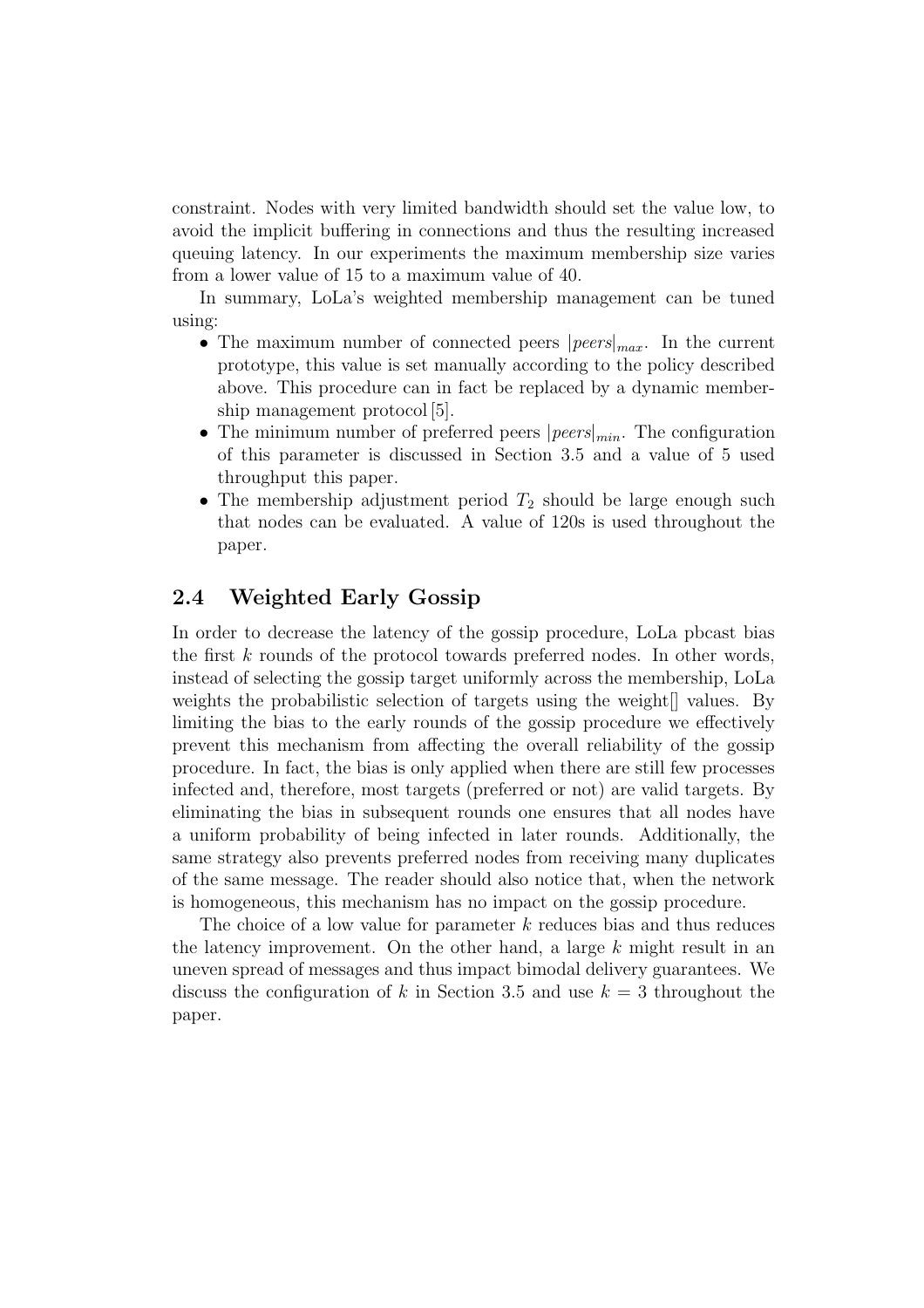constraint. Nodes with very limited bandwidth should set the value low, to avoid the implicit buffering in connections and thus the resulting increased queuing latency. In our experiments the maximum membership size varies from a lower value of 15 to a maximum value of 40.

In summary, LoLa's weighted membership management can be tuned using:

- The maximum number of connected peers  $|peers|_{max}$ . In the current prototype, this value is set manually according to the policy described above. This procedure can in fact be replaced by a dynamic membership management protocol [5].
- The minimum number of preferred peers  $|peers|_{min}$ . The configuration of this parameter is discussed in Section 3.5 and a value of 5 used throughput this paper.
- The membership adjustment period  $T_2$  should be large enough such that nodes can be evaluated. A value of 120s is used throughout the paper.

### 2.4 Weighted Early Gossip

In order to decrease the latency of the gossip procedure, LoLa pbcast bias the first  $k$  rounds of the protocol towards preferred nodes. In other words, instead of selecting the gossip target uniformly across the membership, LoLa weights the probabilistic selection of targets using the weight[] values. By limiting the bias to the early rounds of the gossip procedure we effectively prevent this mechanism from affecting the overall reliability of the gossip procedure. In fact, the bias is only applied when there are still few processes infected and, therefore, most targets (preferred or not) are valid targets. By eliminating the bias in subsequent rounds one ensures that all nodes have a uniform probability of being infected in later rounds. Additionally, the same strategy also prevents preferred nodes from receiving many duplicates of the same message. The reader should also notice that, when the network is homogeneous, this mechanism has no impact on the gossip procedure.

The choice of a low value for parameter  $k$  reduces bias and thus reduces the latency improvement. On the other hand, a large  $k$  might result in an uneven spread of messages and thus impact bimodal delivery guarantees. We discuss the configuration of k in Section 3.5 and use  $k = 3$  throughout the paper.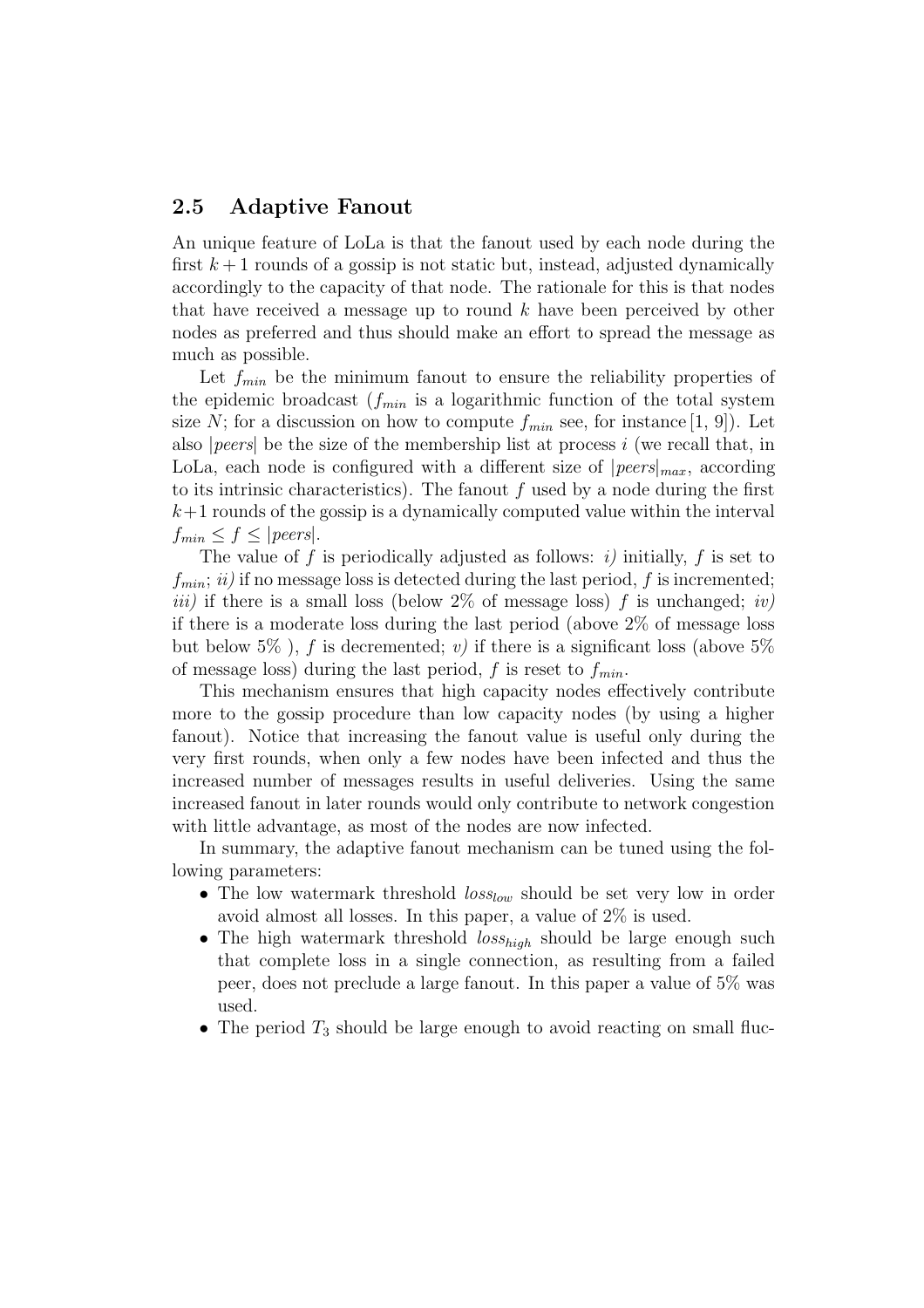#### 2.5 Adaptive Fanout

An unique feature of LoLa is that the fanout used by each node during the first  $k+1$  rounds of a gossip is not static but, instead, adjusted dynamically accordingly to the capacity of that node. The rationale for this is that nodes that have received a message up to round  $k$  have been perceived by other nodes as preferred and thus should make an effort to spread the message as much as possible.

Let  $f_{min}$  be the minimum fanout to ensure the reliability properties of the epidemic broadcast  $(f_{min}$  is a logarithmic function of the total system size N; for a discussion on how to compute  $f_{min}$  see, for instance [1, 9]). Let also  $|peers|$  be the size of the membership list at process i (we recall that, in LoLa, each node is configured with a different size of  $|peers|_{max}$ , according to its intrinsic characteristics). The fanout  $f$  used by a node during the first  $k+1$  rounds of the gossip is a dynamically computed value within the interval  $f_{min} \leq f \leq |peers|.$ 

The value of f is periodically adjusted as follows:  $i$ ) initially, f is set to  $f_{min}$ ; ii) if no message loss is detected during the last period, f is incremented; iii) if there is a small loss (below  $2\%$  of message loss) f is unchanged; iv) if there is a moderate loss during the last period (above 2% of message loss but below 5%), f is decremented; v) if there is a significant loss (above  $5\%$ of message loss) during the last period,  $f$  is reset to  $f_{min}$ .

This mechanism ensures that high capacity nodes effectively contribute more to the gossip procedure than low capacity nodes (by using a higher fanout). Notice that increasing the fanout value is useful only during the very first rounds, when only a few nodes have been infected and thus the increased number of messages results in useful deliveries. Using the same increased fanout in later rounds would only contribute to network congestion with little advantage, as most of the nodes are now infected.

In summary, the adaptive fanout mechanism can be tuned using the following parameters:

- The low watermark threshold  $loss_{low}$  should be set very low in order avoid almost all losses. In this paper, a value of 2% is used.
- The high watermark threshold  $loss_{high}$  should be large enough such that complete loss in a single connection, as resulting from a failed peer, does not preclude a large fanout. In this paper a value of 5% was used.
- The period  $T_3$  should be large enough to avoid reacting on small fluc-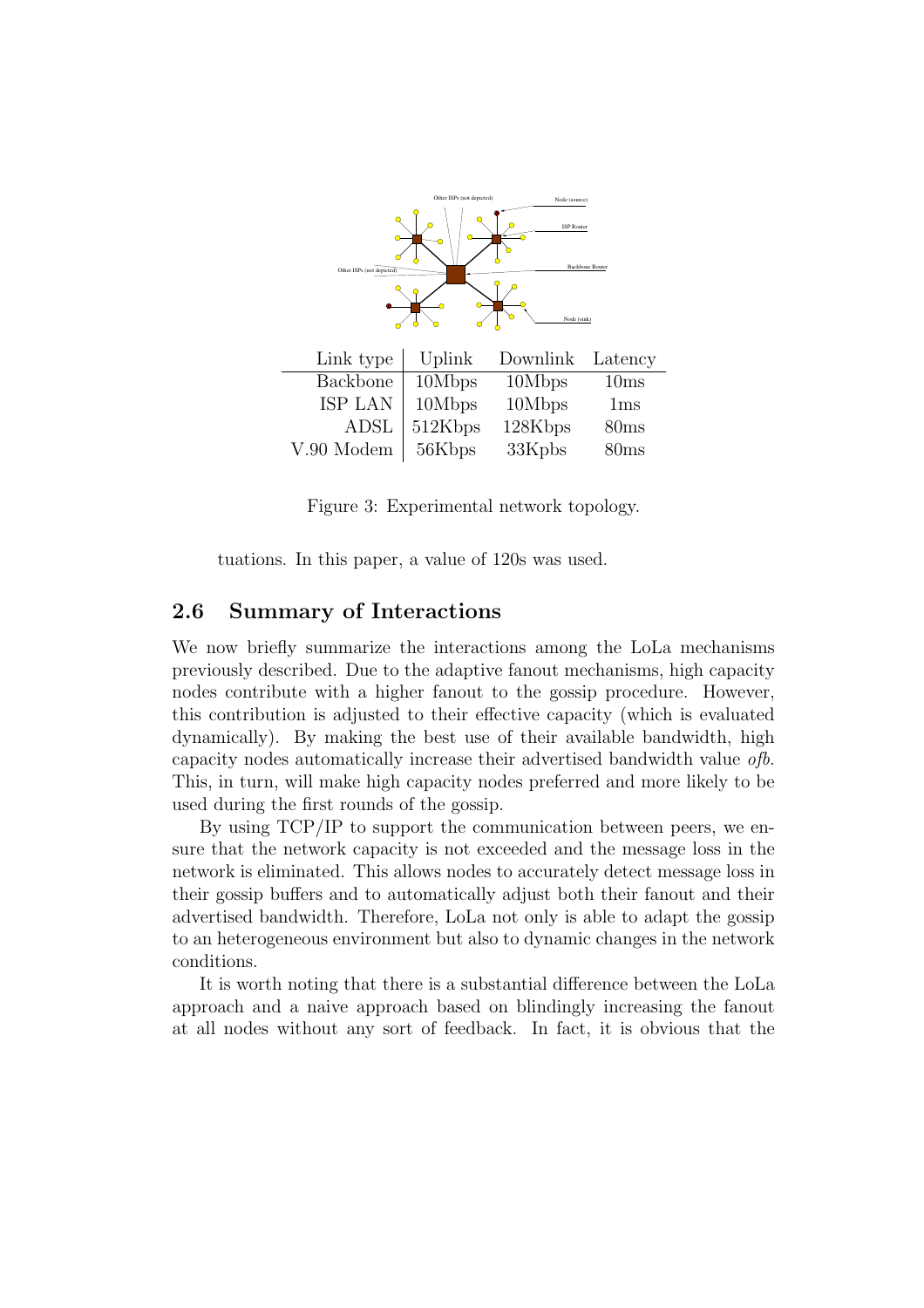

Figure 3: Experimental network topology.

tuations. In this paper, a value of 120s was used.

### 2.6 Summary of Interactions

We now briefly summarize the interactions among the LoLa mechanisms previously described. Due to the adaptive fanout mechanisms, high capacity nodes contribute with a higher fanout to the gossip procedure. However, this contribution is adjusted to their effective capacity (which is evaluated dynamically). By making the best use of their available bandwidth, high capacity nodes automatically increase their advertised bandwidth value ofb. This, in turn, will make high capacity nodes preferred and more likely to be used during the first rounds of the gossip.

By using TCP/IP to support the communication between peers, we ensure that the network capacity is not exceeded and the message loss in the network is eliminated. This allows nodes to accurately detect message loss in their gossip buffers and to automatically adjust both their fanout and their advertised bandwidth. Therefore, LoLa not only is able to adapt the gossip to an heterogeneous environment but also to dynamic changes in the network conditions.

It is worth noting that there is a substantial difference between the LoLa approach and a naive approach based on blindingly increasing the fanout at all nodes without any sort of feedback. In fact, it is obvious that the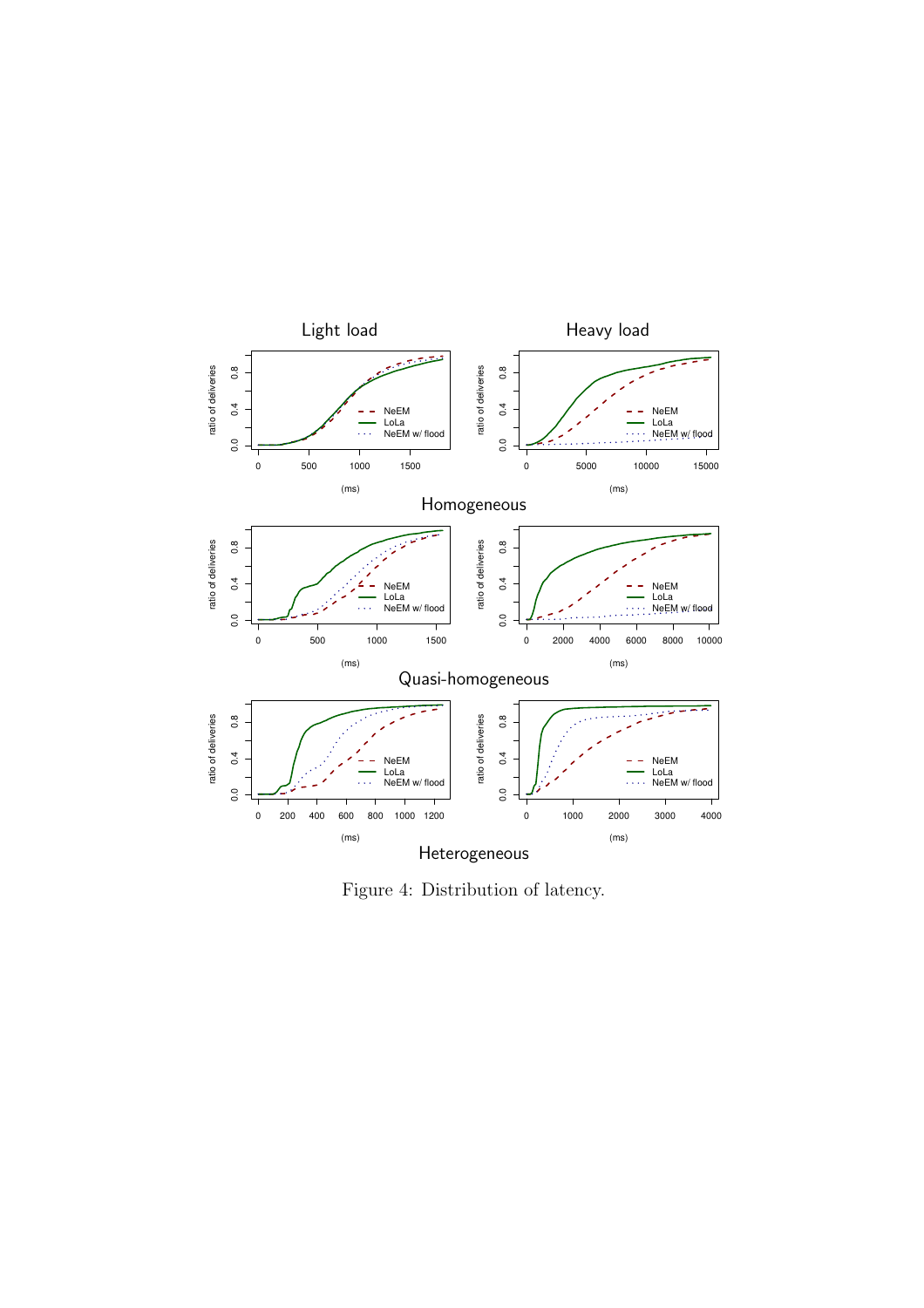

Figure 4: Distribution of latency.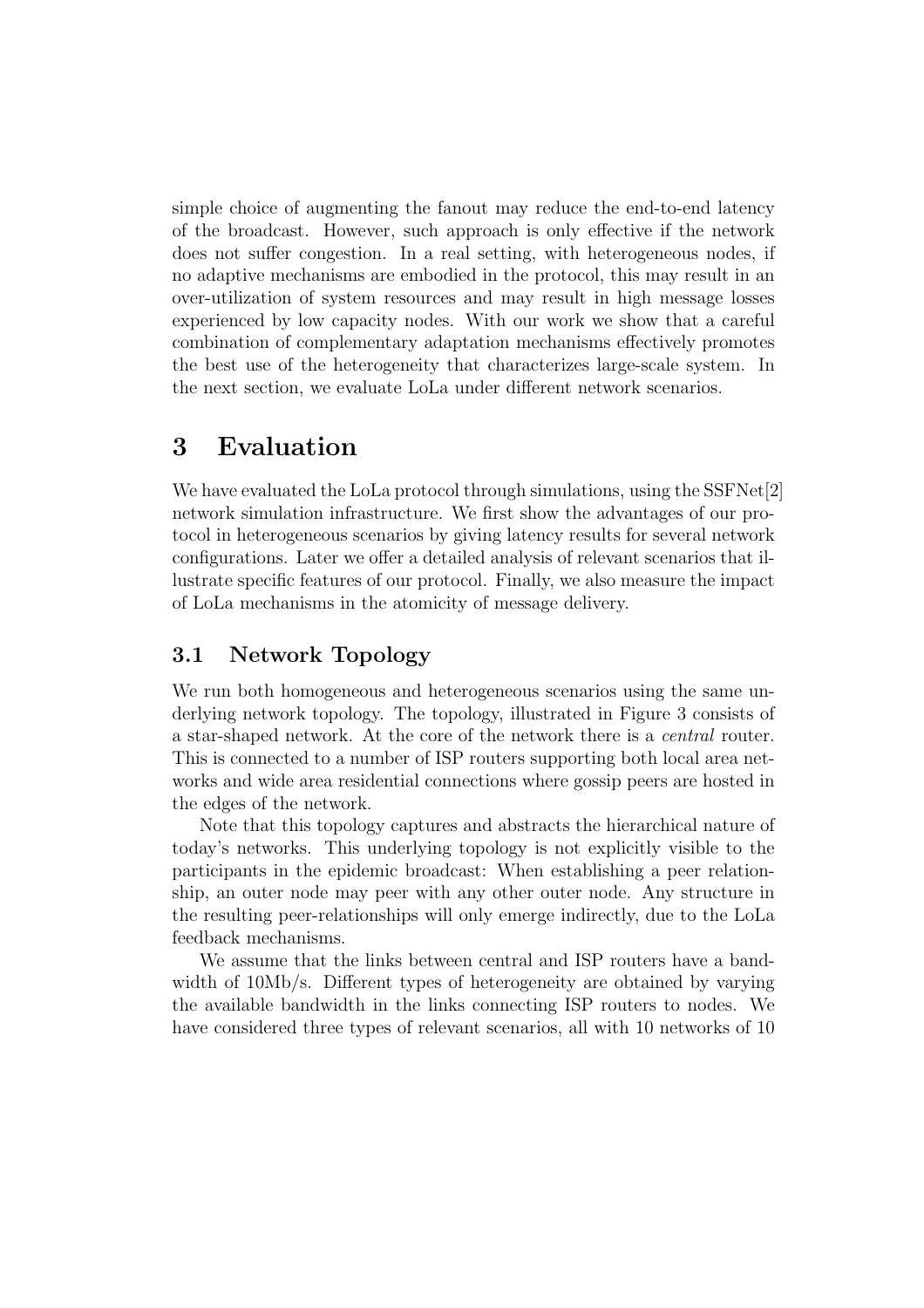simple choice of augmenting the fanout may reduce the end-to-end latency of the broadcast. However, such approach is only effective if the network does not suffer congestion. In a real setting, with heterogeneous nodes, if no adaptive mechanisms are embodied in the protocol, this may result in an over-utilization of system resources and may result in high message losses experienced by low capacity nodes. With our work we show that a careful combination of complementary adaptation mechanisms effectively promotes the best use of the heterogeneity that characterizes large-scale system. In the next section, we evaluate LoLa under different network scenarios.

### 3 Evaluation

We have evaluated the LoLa protocol through simulations, using the SSFNet<sup>[2]</sup> network simulation infrastructure. We first show the advantages of our protocol in heterogeneous scenarios by giving latency results for several network configurations. Later we offer a detailed analysis of relevant scenarios that illustrate specific features of our protocol. Finally, we also measure the impact of LoLa mechanisms in the atomicity of message delivery.

### 3.1 Network Topology

We run both homogeneous and heterogeneous scenarios using the same underlying network topology. The topology, illustrated in Figure 3 consists of a star-shaped network. At the core of the network there is a central router. This is connected to a number of ISP routers supporting both local area networks and wide area residential connections where gossip peers are hosted in the edges of the network.

Note that this topology captures and abstracts the hierarchical nature of today's networks. This underlying topology is not explicitly visible to the participants in the epidemic broadcast: When establishing a peer relationship, an outer node may peer with any other outer node. Any structure in the resulting peer-relationships will only emerge indirectly, due to the LoLa feedback mechanisms.

We assume that the links between central and ISP routers have a bandwidth of 10Mb/s. Different types of heterogeneity are obtained by varying the available bandwidth in the links connecting ISP routers to nodes. We have considered three types of relevant scenarios, all with 10 networks of 10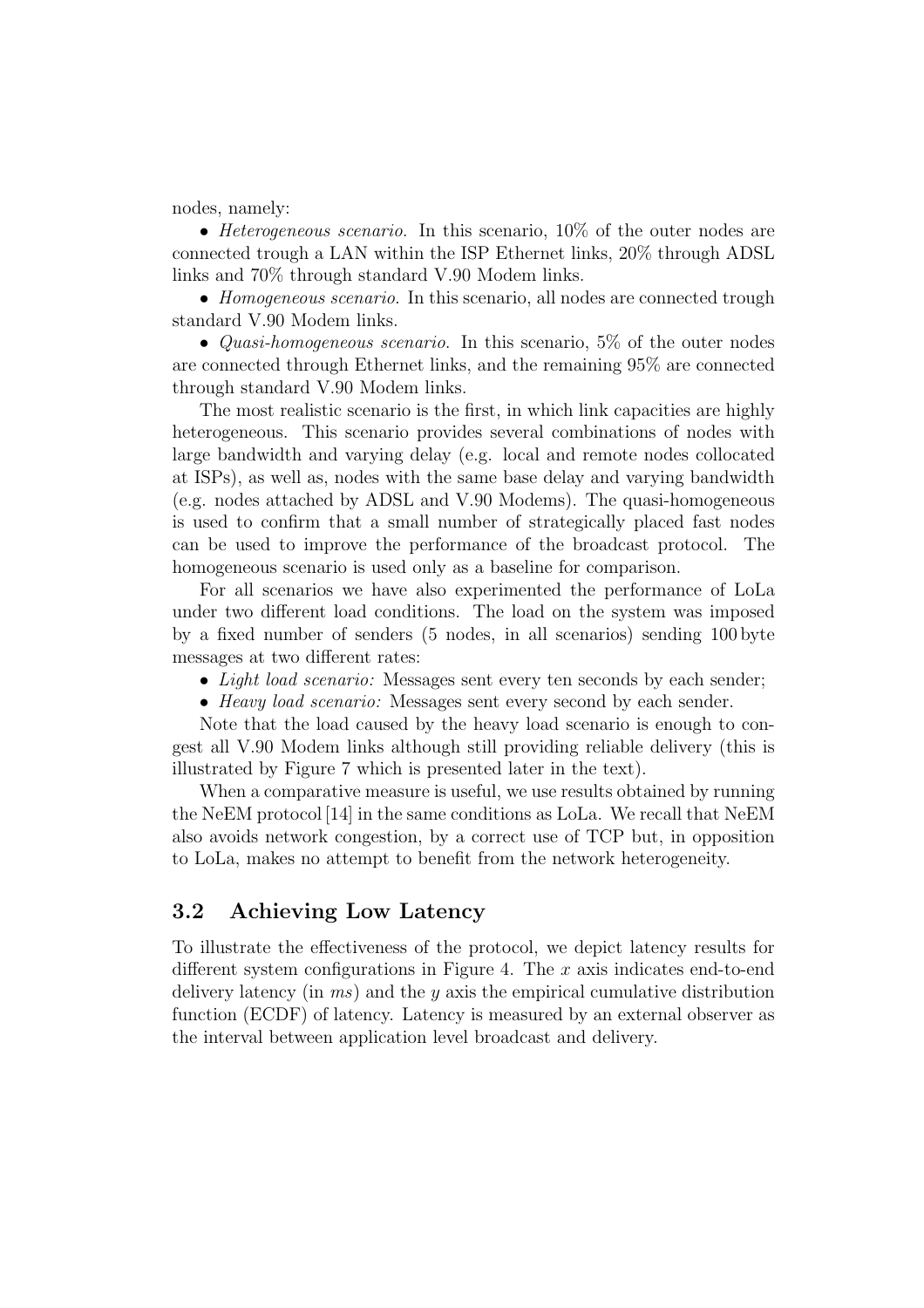nodes, namely:

• Heterogeneous scenario. In this scenario,  $10\%$  of the outer nodes are connected trough a LAN within the ISP Ethernet links, 20% through ADSL links and 70% through standard V.90 Modem links.

• Homogeneous scenario. In this scenario, all nodes are connected trough standard V.90 Modem links.

• Quasi-homogeneous scenario. In this scenario, 5% of the outer nodes are connected through Ethernet links, and the remaining 95% are connected through standard V.90 Modem links.

The most realistic scenario is the first, in which link capacities are highly heterogeneous. This scenario provides several combinations of nodes with large bandwidth and varying delay (e.g. local and remote nodes collocated at ISPs), as well as, nodes with the same base delay and varying bandwidth (e.g. nodes attached by ADSL and V.90 Modems). The quasi-homogeneous is used to confirm that a small number of strategically placed fast nodes can be used to improve the performance of the broadcast protocol. The homogeneous scenario is used only as a baseline for comparison.

For all scenarios we have also experimented the performance of LoLa under two different load conditions. The load on the system was imposed by a fixed number of senders (5 nodes, in all scenarios) sending 100 byte messages at two different rates:

- *Light load scenario:* Messages sent every ten seconds by each sender;
- Heavy load scenario: Messages sent every second by each sender.

Note that the load caused by the heavy load scenario is enough to congest all V.90 Modem links although still providing reliable delivery (this is illustrated by Figure 7 which is presented later in the text).

When a comparative measure is useful, we use results obtained by running the NeEM protocol [14] in the same conditions as LoLa. We recall that NeEM also avoids network congestion, by a correct use of TCP but, in opposition to LoLa, makes no attempt to benefit from the network heterogeneity.

#### 3.2 Achieving Low Latency

To illustrate the effectiveness of the protocol, we depict latency results for different system configurations in Figure 4. The  $x$  axis indicates end-to-end delivery latency (in  $ms$ ) and the y axis the empirical cumulative distribution function (ECDF) of latency. Latency is measured by an external observer as the interval between application level broadcast and delivery.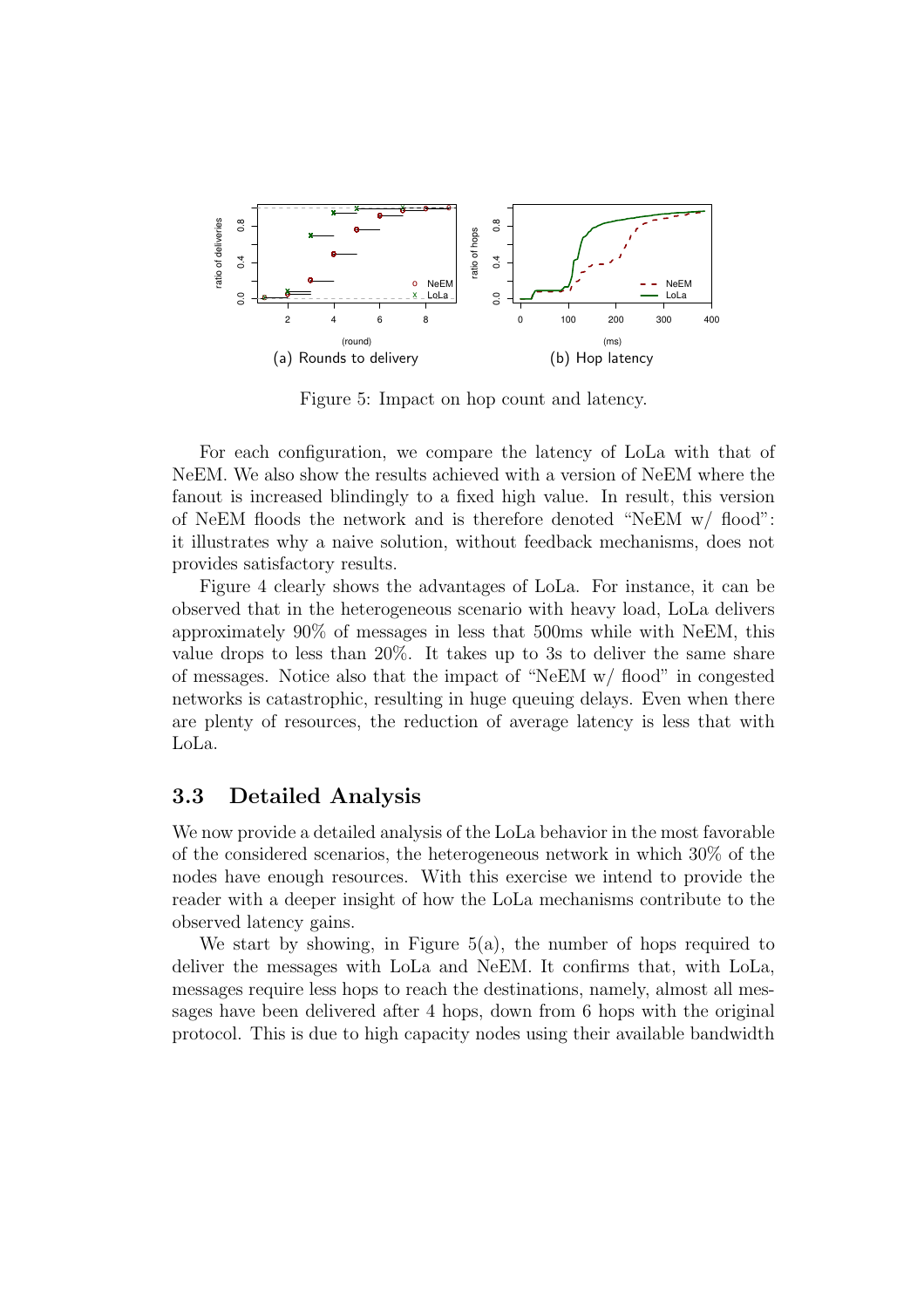

Figure 5: Impact on hop count and latency.

For each configuration, we compare the latency of LoLa with that of NeEM. We also show the results achieved with a version of NeEM where the fanout is increased blindingly to a fixed high value. In result, this version of NeEM floods the network and is therefore denoted "NeEM w/ flood": it illustrates why a naive solution, without feedback mechanisms, does not provides satisfactory results.

Figure 4 clearly shows the advantages of LoLa. For instance, it can be observed that in the heterogeneous scenario with heavy load, LoLa delivers approximately 90% of messages in less that 500ms while with NeEM, this value drops to less than 20%. It takes up to 3s to deliver the same share of messages. Notice also that the impact of "NeEM w/ flood" in congested networks is catastrophic, resulting in huge queuing delays. Even when there are plenty of resources, the reduction of average latency is less that with LoLa.

### 3.3 Detailed Analysis

We now provide a detailed analysis of the LoLa behavior in the most favorable of the considered scenarios, the heterogeneous network in which 30% of the nodes have enough resources. With this exercise we intend to provide the reader with a deeper insight of how the LoLa mechanisms contribute to the observed latency gains.

We start by showing, in Figure 5(a), the number of hops required to deliver the messages with LoLa and NeEM. It confirms that, with LoLa, messages require less hops to reach the destinations, namely, almost all messages have been delivered after 4 hops, down from 6 hops with the original protocol. This is due to high capacity nodes using their available bandwidth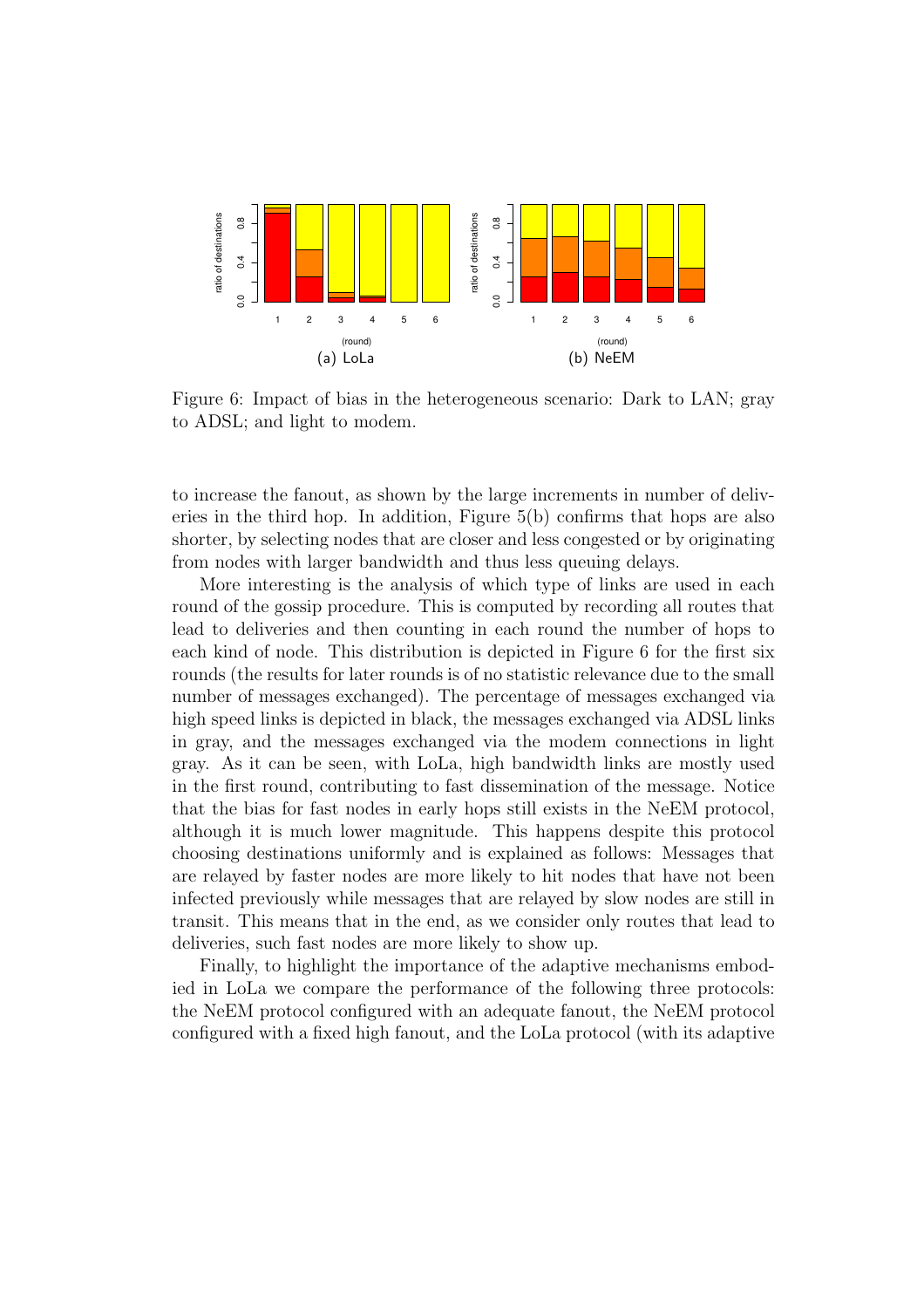

Figure 6: Impact of bias in the heterogeneous scenario: Dark to LAN; gray to ADSL; and light to modem.

to increase the fanout, as shown by the large increments in number of deliveries in the third hop. In addition, Figure 5(b) confirms that hops are also shorter, by selecting nodes that are closer and less congested or by originating from nodes with larger bandwidth and thus less queuing delays.

More interesting is the analysis of which type of links are used in each round of the gossip procedure. This is computed by recording all routes that lead to deliveries and then counting in each round the number of hops to each kind of node. This distribution is depicted in Figure 6 for the first six rounds (the results for later rounds is of no statistic relevance due to the small number of messages exchanged). The percentage of messages exchanged via high speed links is depicted in black, the messages exchanged via ADSL links in gray, and the messages exchanged via the modem connections in light gray. As it can be seen, with LoLa, high bandwidth links are mostly used in the first round, contributing to fast dissemination of the message. Notice that the bias for fast nodes in early hops still exists in the NeEM protocol, although it is much lower magnitude. This happens despite this protocol choosing destinations uniformly and is explained as follows: Messages that are relayed by faster nodes are more likely to hit nodes that have not been infected previously while messages that are relayed by slow nodes are still in transit. This means that in the end, as we consider only routes that lead to deliveries, such fast nodes are more likely to show up.

Finally, to highlight the importance of the adaptive mechanisms embodied in LoLa we compare the performance of the following three protocols: the NeEM protocol configured with an adequate fanout, the NeEM protocol configured with a fixed high fanout, and the LoLa protocol (with its adaptive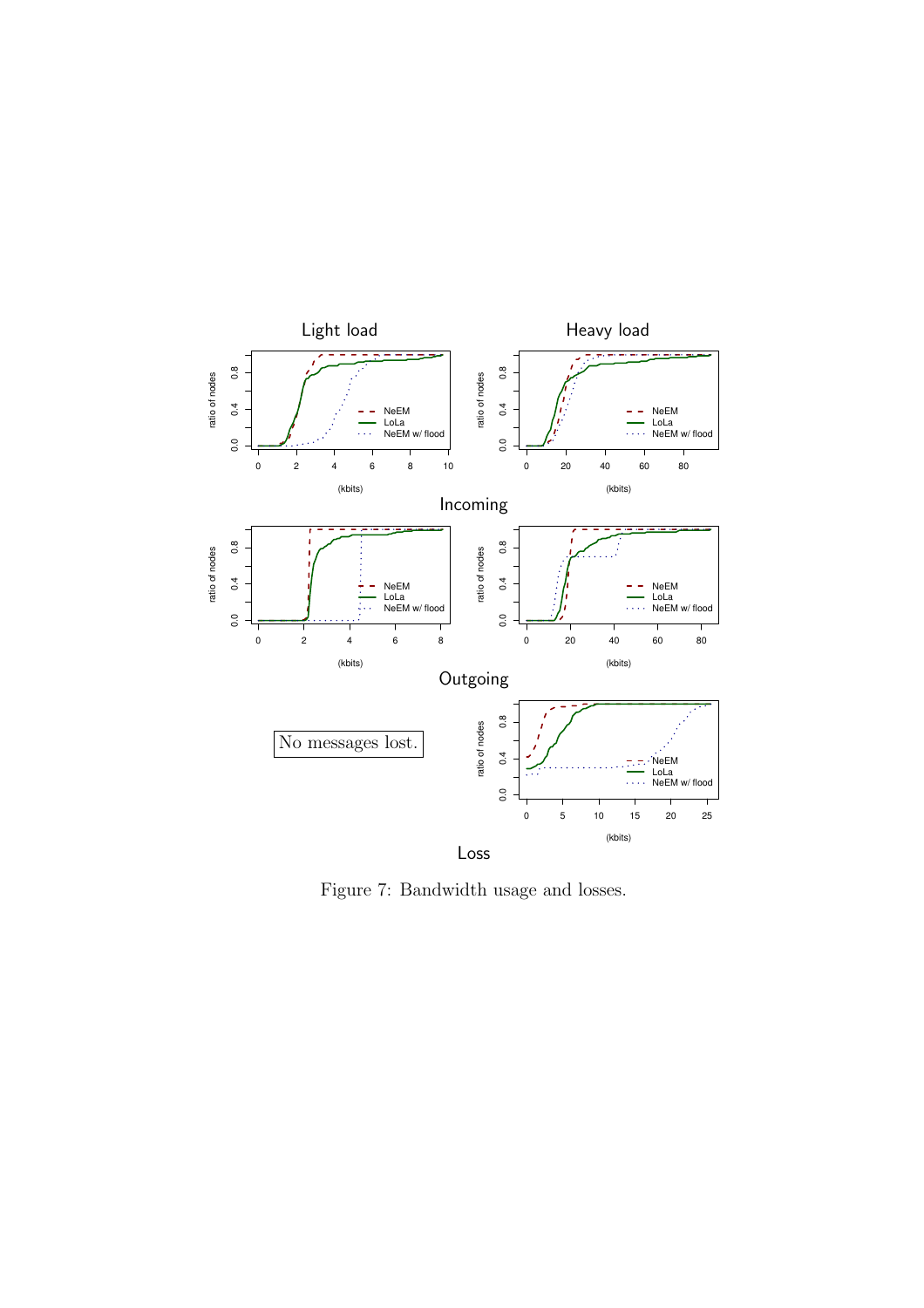

Loss

Figure 7: Bandwidth usage and losses.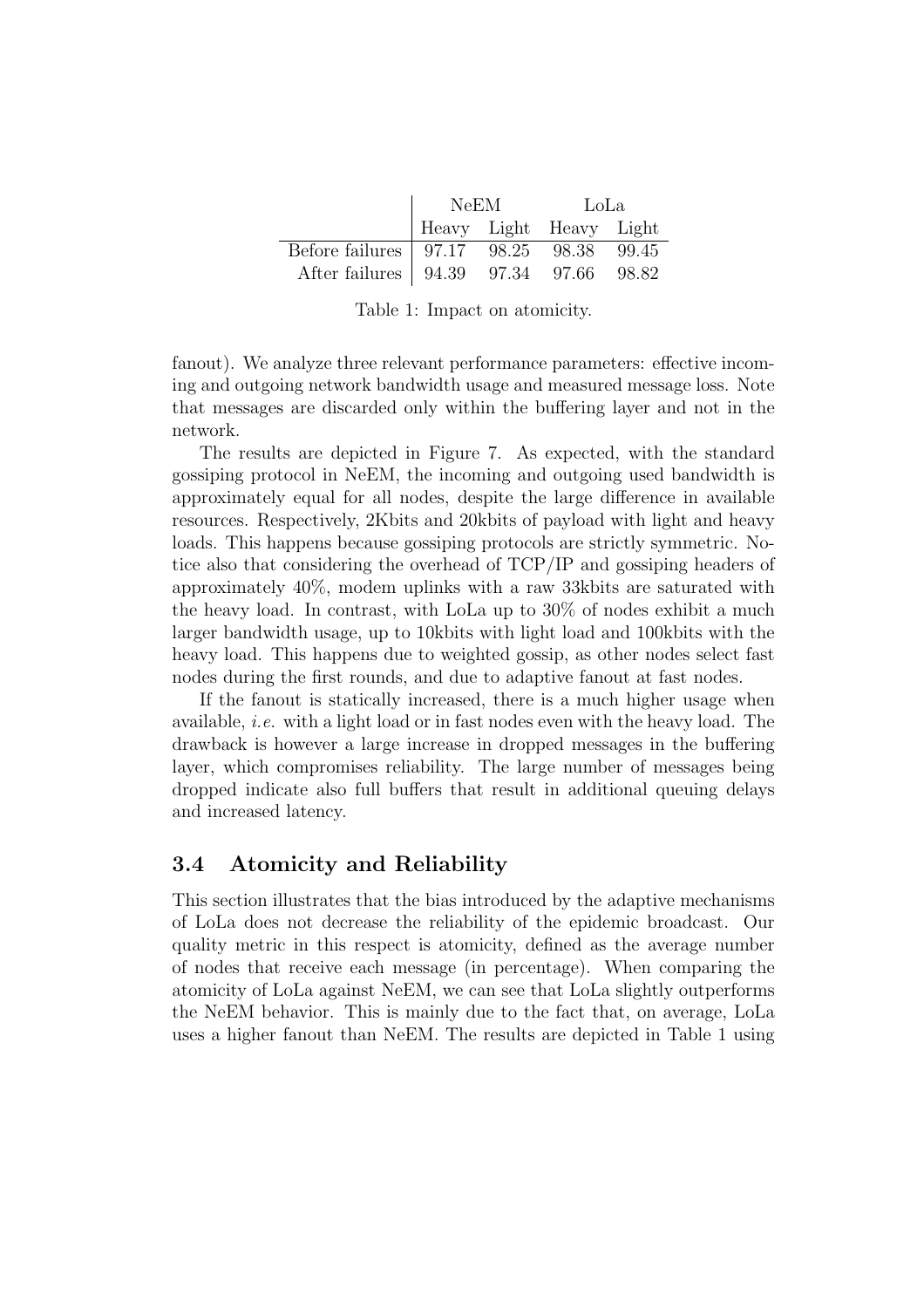|                                           | $\rm NeEM$ |  | LoLa                    |  |
|-------------------------------------------|------------|--|-------------------------|--|
|                                           |            |  | Heavy Light Heavy Light |  |
| Before failures   97.17 98.25 98.38 99.45 |            |  |                         |  |
| After failures   94.39 97.34 97.66 98.82  |            |  |                         |  |

Table 1: Impact on atomicity.

fanout). We analyze three relevant performance parameters: effective incoming and outgoing network bandwidth usage and measured message loss. Note that messages are discarded only within the buffering layer and not in the network.

The results are depicted in Figure 7. As expected, with the standard gossiping protocol in NeEM, the incoming and outgoing used bandwidth is approximately equal for all nodes, despite the large difference in available resources. Respectively, 2Kbits and 20kbits of payload with light and heavy loads. This happens because gossiping protocols are strictly symmetric. Notice also that considering the overhead of TCP/IP and gossiping headers of approximately 40%, modem uplinks with a raw 33kbits are saturated with the heavy load. In contrast, with LoLa up to 30% of nodes exhibit a much larger bandwidth usage, up to 10kbits with light load and 100kbits with the heavy load. This happens due to weighted gossip, as other nodes select fast nodes during the first rounds, and due to adaptive fanout at fast nodes.

If the fanout is statically increased, there is a much higher usage when available, i.e. with a light load or in fast nodes even with the heavy load. The drawback is however a large increase in dropped messages in the buffering layer, which compromises reliability. The large number of messages being dropped indicate also full buffers that result in additional queuing delays and increased latency.

### 3.4 Atomicity and Reliability

This section illustrates that the bias introduced by the adaptive mechanisms of LoLa does not decrease the reliability of the epidemic broadcast. Our quality metric in this respect is atomicity, defined as the average number of nodes that receive each message (in percentage). When comparing the atomicity of LoLa against NeEM, we can see that LoLa slightly outperforms the NeEM behavior. This is mainly due to the fact that, on average, LoLa uses a higher fanout than NeEM. The results are depicted in Table 1 using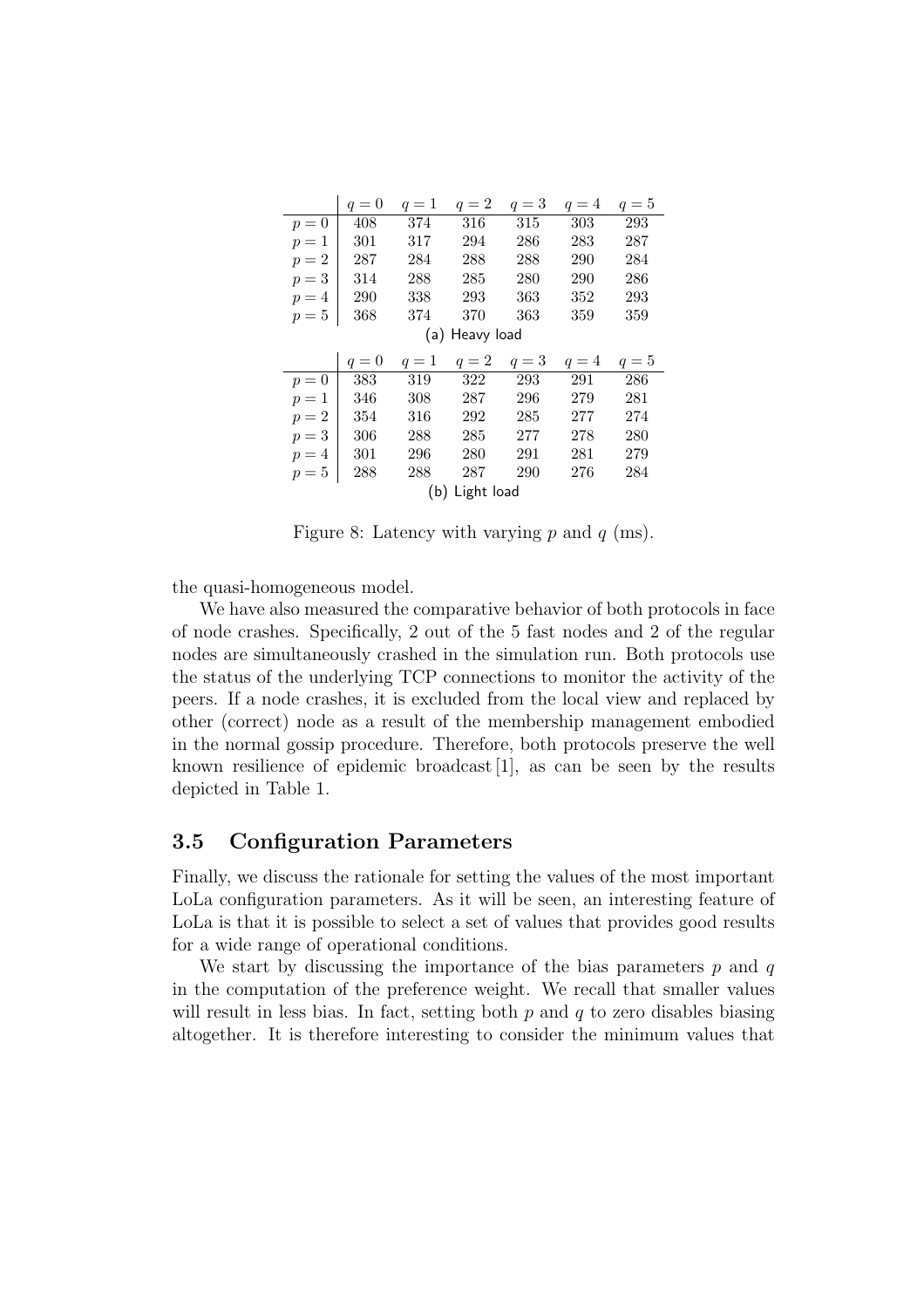|                | $q=0$ | $q=1$ | $q=2$ | $q=3$ | $q=4$ | $q=5$ |  |
|----------------|-------|-------|-------|-------|-------|-------|--|
| $p=0$          | 408   | 374   | 316   | 315   | 303   | 293   |  |
| $p=1$          | 301   | 317   | 294   | 286   | 283   | 287   |  |
| $p=2$          | 287   | 284   | 288   | 288   | 290   | 284   |  |
| $p=3$          | 314   | 288   | 285   | 280   | 290   | 286   |  |
| $p=4$          | 290   | 338   | 293   | 363   | 352   | 293   |  |
| $p=5$          | 368   | 374   | 370   | 363   | 359   | 359   |  |
| (a) Heavy load |       |       |       |       |       |       |  |
|                |       |       |       |       |       |       |  |
|                | $q=0$ | $q=1$ | $q=2$ | $q=3$ | $q=4$ | $q=5$ |  |
| $p=0$          | 383   | 319   | 322   | 293   | 291   | 286   |  |
| $p=1$          | 346   | 308   | 287   | 296   | 279   | 281   |  |
| $p=2$          | 354   | 316   | 292   | 285   | 277   | 274   |  |
| $p=3$          | 306   | 288   | 285   | 277   | 278   | 280   |  |
| $p=4$          | 301   | 296   | 280   | 291   | 281   | 279   |  |
| $p=5$          | 288   | 288   | 287   | 290   | 276   | 284   |  |

Figure 8: Latency with varying  $p$  and  $q$  (ms).

the quasi-homogeneous model.

We have also measured the comparative behavior of both protocols in face of node crashes. Specifically, 2 out of the 5 fast nodes and 2 of the regular nodes are simultaneously crashed in the simulation run. Both protocols use the status of the underlying TCP connections to monitor the activity of the peers. If a node crashes, it is excluded from the local view and replaced by other (correct) node as a result of the membership management embodied in the normal gossip procedure. Therefore, both protocols preserve the well known resilience of epidemic broadcast [1], as can be seen by the results depicted in Table 1.

### 3.5 Configuration Parameters

Finally, we discuss the rationale for setting the values of the most important LoLa configuration parameters. As it will be seen, an interesting feature of LoLa is that it is possible to select a set of values that provides good results for a wide range of operational conditions.

We start by discussing the importance of the bias parameters  $p$  and  $q$ in the computation of the preference weight. We recall that smaller values will result in less bias. In fact, setting both  $p$  and  $q$  to zero disables biasing altogether. It is therefore interesting to consider the minimum values that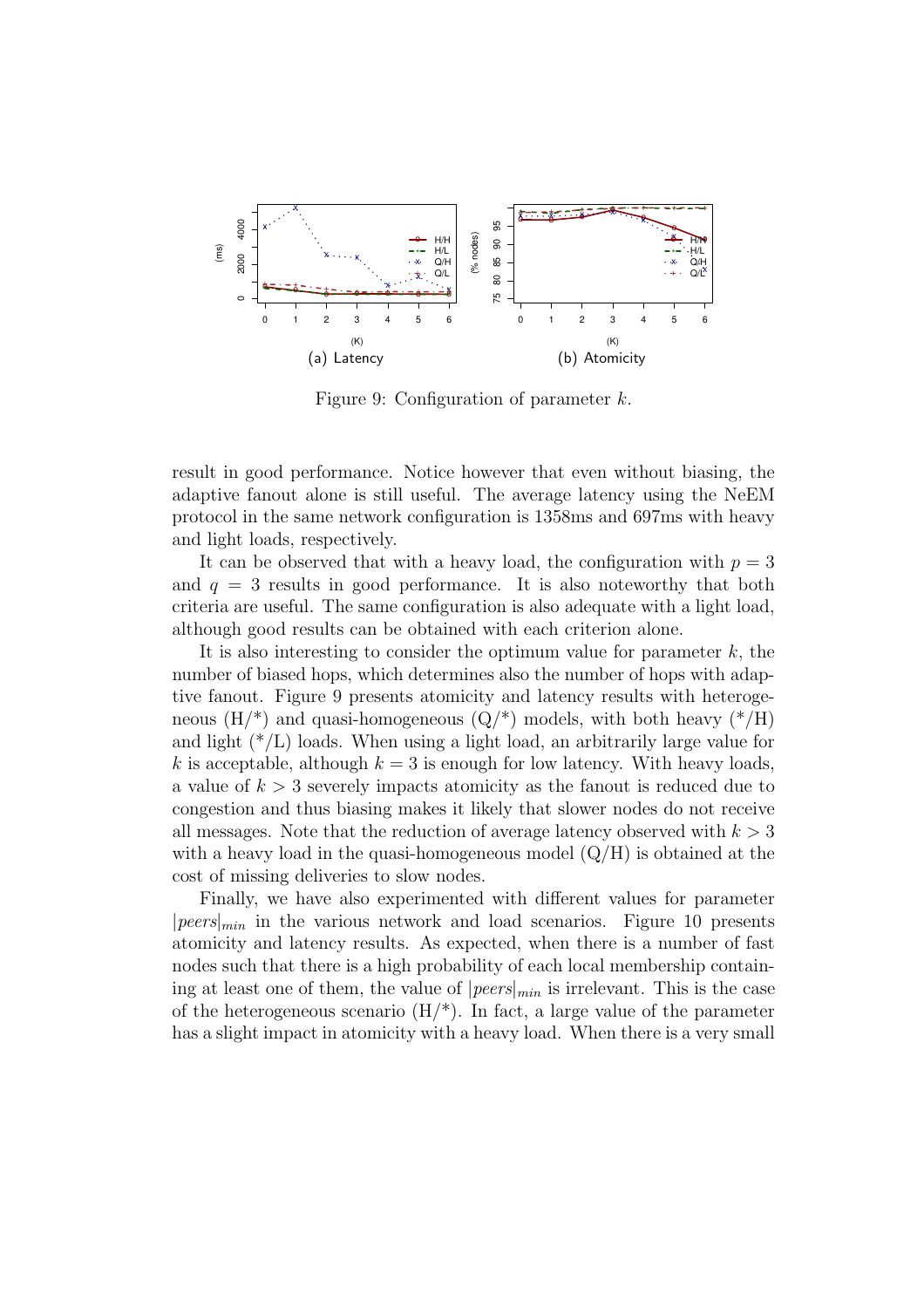

Figure 9: Configuration of parameter k.

result in good performance. Notice however that even without biasing, the adaptive fanout alone is still useful. The average latency using the NeEM protocol in the same network configuration is 1358ms and 697ms with heavy and light loads, respectively.

It can be observed that with a heavy load, the configuration with  $p = 3$ and  $q = 3$  results in good performance. It is also noteworthy that both criteria are useful. The same configuration is also adequate with a light load, although good results can be obtained with each criterion alone.

It is also interesting to consider the optimum value for parameter  $k$ , the number of biased hops, which determines also the number of hops with adaptive fanout. Figure 9 presents atomicity and latency results with heterogeneous  $(H<sup>*</sup>)$  and quasi-homogeneous  $(Q<sup>*</sup>)$  models, with both heavy  $(*/H)$ and light  $(*/L)$  loads. When using a light load, an arbitrarily large value for k is acceptable, although  $k = 3$  is enough for low latency. With heavy loads, a value of  $k > 3$  severely impacts atomicity as the fanout is reduced due to congestion and thus biasing makes it likely that slower nodes do not receive all messages. Note that the reduction of average latency observed with  $k > 3$ with a heavy load in the quasi-homogeneous model  $(Q/H)$  is obtained at the cost of missing deliveries to slow nodes.

Finally, we have also experimented with different values for parameter  $|peers|_{min}$  in the various network and load scenarios. Figure 10 presents atomicity and latency results. As expected, when there is a number of fast nodes such that there is a high probability of each local membership containing at least one of them, the value of  $|peers|_{min}$  is irrelevant. This is the case of the heterogeneous scenario  $(H<sup>*</sup>)$ . In fact, a large value of the parameter has a slight impact in atomicity with a heavy load. When there is a very small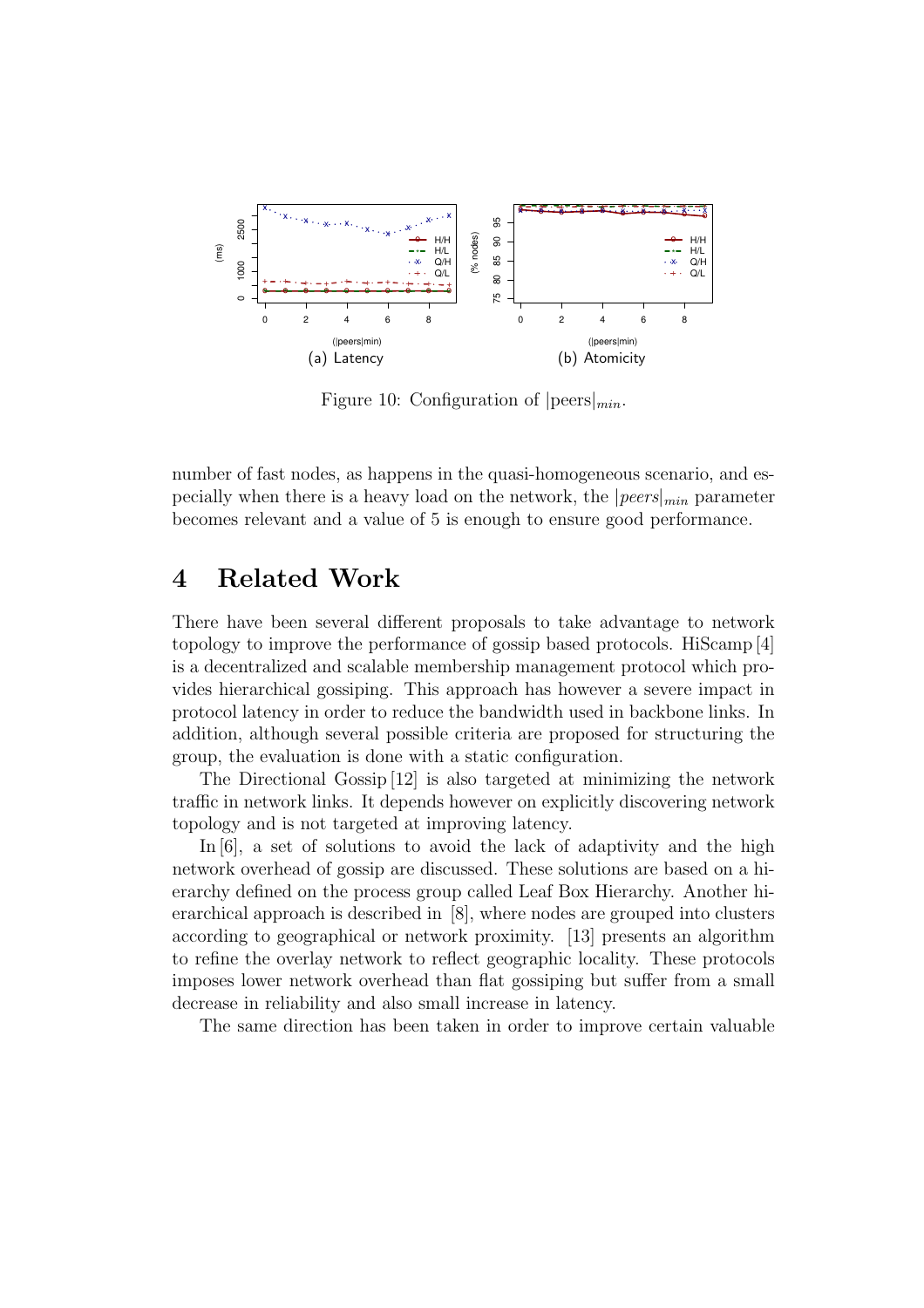

Figure 10: Configuration of  $|{\rm peers}|_{min}$ .

number of fast nodes, as happens in the quasi-homogeneous scenario, and especially when there is a heavy load on the network, the  $|peers|_{min}$  parameter becomes relevant and a value of 5 is enough to ensure good performance.

### 4 Related Work

There have been several different proposals to take advantage to network topology to improve the performance of gossip based protocols. HiScamp [4] is a decentralized and scalable membership management protocol which provides hierarchical gossiping. This approach has however a severe impact in protocol latency in order to reduce the bandwidth used in backbone links. In addition, although several possible criteria are proposed for structuring the group, the evaluation is done with a static configuration.

The Directional Gossip [12] is also targeted at minimizing the network traffic in network links. It depends however on explicitly discovering network topology and is not targeted at improving latency.

In [6], a set of solutions to avoid the lack of adaptivity and the high network overhead of gossip are discussed. These solutions are based on a hierarchy defined on the process group called Leaf Box Hierarchy. Another hierarchical approach is described in [8], where nodes are grouped into clusters according to geographical or network proximity. [13] presents an algorithm to refine the overlay network to reflect geographic locality. These protocols imposes lower network overhead than flat gossiping but suffer from a small decrease in reliability and also small increase in latency.

The same direction has been taken in order to improve certain valuable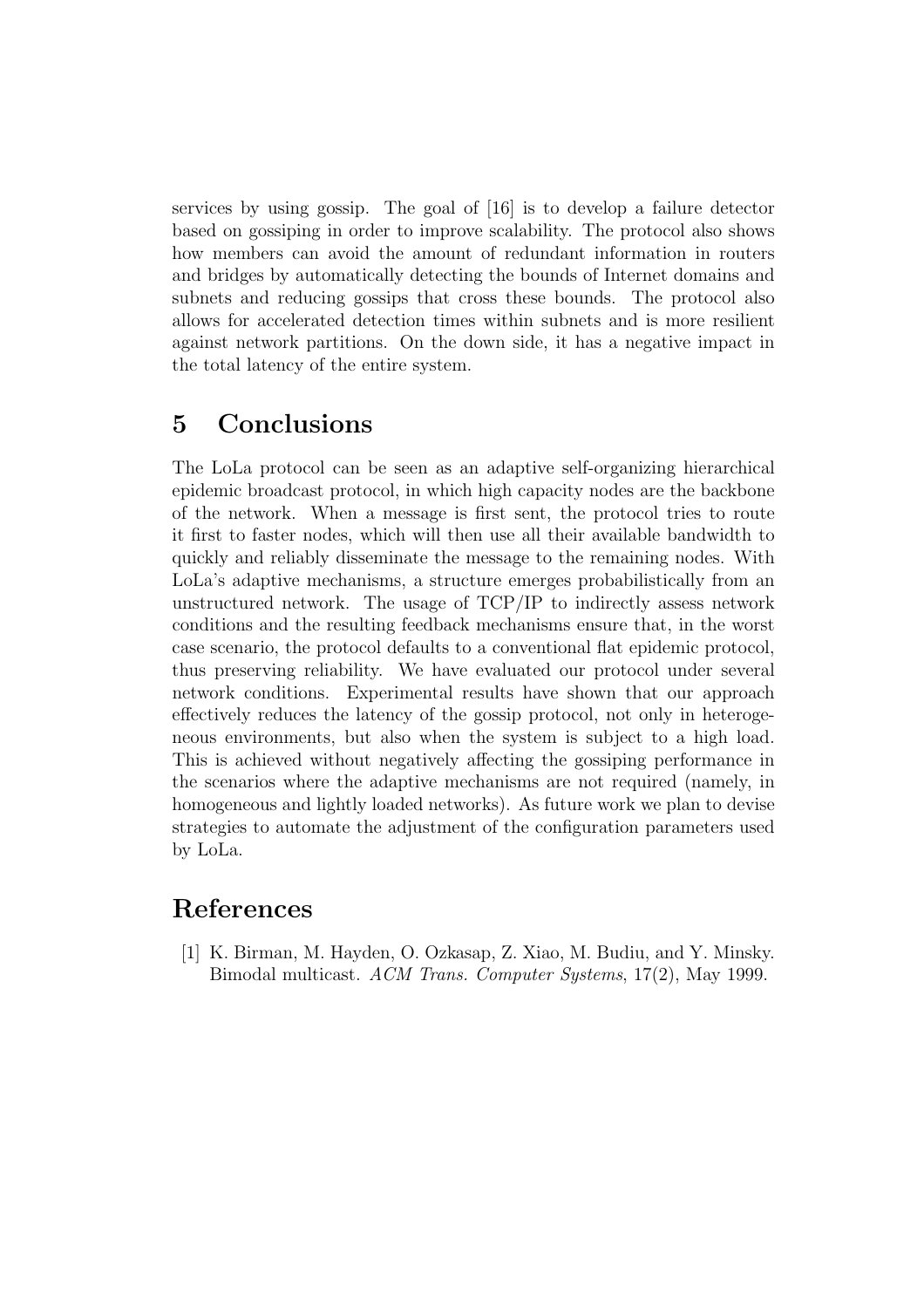services by using gossip. The goal of [16] is to develop a failure detector based on gossiping in order to improve scalability. The protocol also shows how members can avoid the amount of redundant information in routers and bridges by automatically detecting the bounds of Internet domains and subnets and reducing gossips that cross these bounds. The protocol also allows for accelerated detection times within subnets and is more resilient against network partitions. On the down side, it has a negative impact in the total latency of the entire system.

## 5 Conclusions

The LoLa protocol can be seen as an adaptive self-organizing hierarchical epidemic broadcast protocol, in which high capacity nodes are the backbone of the network. When a message is first sent, the protocol tries to route it first to faster nodes, which will then use all their available bandwidth to quickly and reliably disseminate the message to the remaining nodes. With LoLa's adaptive mechanisms, a structure emerges probabilistically from an unstructured network. The usage of TCP/IP to indirectly assess network conditions and the resulting feedback mechanisms ensure that, in the worst case scenario, the protocol defaults to a conventional flat epidemic protocol, thus preserving reliability. We have evaluated our protocol under several network conditions. Experimental results have shown that our approach effectively reduces the latency of the gossip protocol, not only in heterogeneous environments, but also when the system is subject to a high load. This is achieved without negatively affecting the gossiping performance in the scenarios where the adaptive mechanisms are not required (namely, in homogeneous and lightly loaded networks). As future work we plan to devise strategies to automate the adjustment of the configuration parameters used by LoLa.

### References

[1] K. Birman, M. Hayden, O. Ozkasap, Z. Xiao, M. Budiu, and Y. Minsky. Bimodal multicast. ACM Trans. Computer Systems, 17(2), May 1999.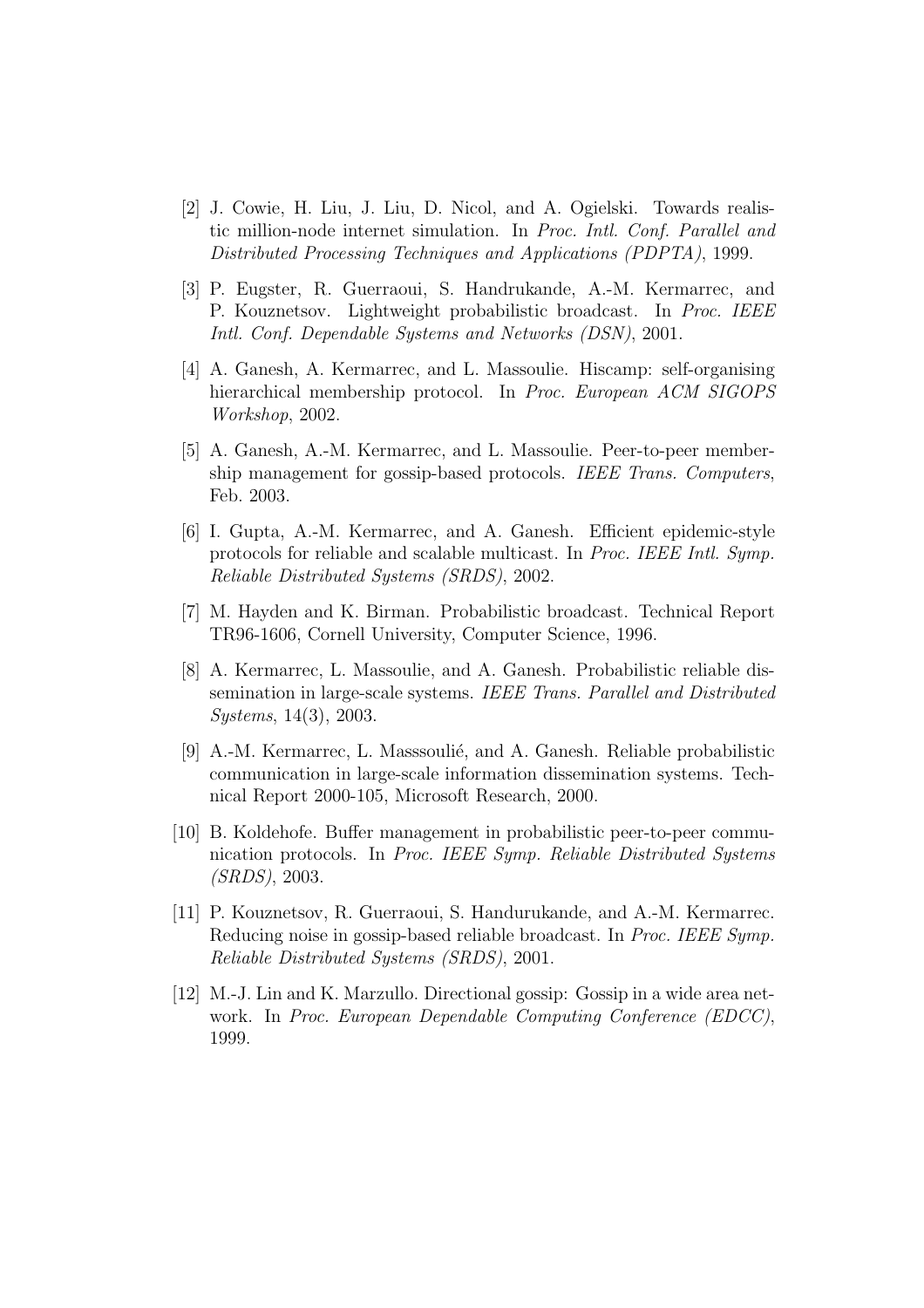- [2] J. Cowie, H. Liu, J. Liu, D. Nicol, and A. Ogielski. Towards realistic million-node internet simulation. In Proc. Intl. Conf. Parallel and Distributed Processing Techniques and Applications (PDPTA), 1999.
- [3] P. Eugster, R. Guerraoui, S. Handrukande, A.-M. Kermarrec, and P. Kouznetsov. Lightweight probabilistic broadcast. In Proc. IEEE Intl. Conf. Dependable Systems and Networks (DSN), 2001.
- [4] A. Ganesh, A. Kermarrec, and L. Massoulie. Hiscamp: self-organising hierarchical membership protocol. In Proc. European ACM SIGOPS Workshop, 2002.
- [5] A. Ganesh, A.-M. Kermarrec, and L. Massoulie. Peer-to-peer membership management for gossip-based protocols. IEEE Trans. Computers, Feb. 2003.
- [6] I. Gupta, A.-M. Kermarrec, and A. Ganesh. Efficient epidemic-style protocols for reliable and scalable multicast. In Proc. IEEE Intl. Symp. Reliable Distributed Systems (SRDS), 2002.
- [7] M. Hayden and K. Birman. Probabilistic broadcast. Technical Report TR96-1606, Cornell University, Computer Science, 1996.
- [8] A. Kermarrec, L. Massoulie, and A. Ganesh. Probabilistic reliable dissemination in large-scale systems. IEEE Trans. Parallel and Distributed Systems, 14(3), 2003.
- [9]  $A.-M.$  Kermarrec, L. Masssoulié, and A. Ganesh. Reliable probabilistic communication in large-scale information dissemination systems. Technical Report 2000-105, Microsoft Research, 2000.
- [10] B. Koldehofe. Buffer management in probabilistic peer-to-peer communication protocols. In Proc. IEEE Symp. Reliable Distributed Systems (SRDS), 2003.
- [11] P. Kouznetsov, R. Guerraoui, S. Handurukande, and A.-M. Kermarrec. Reducing noise in gossip-based reliable broadcast. In *Proc. IEEE Symp.* Reliable Distributed Systems (SRDS), 2001.
- [12] M.-J. Lin and K. Marzullo. Directional gossip: Gossip in a wide area network. In Proc. European Dependable Computing Conference (EDCC), 1999.